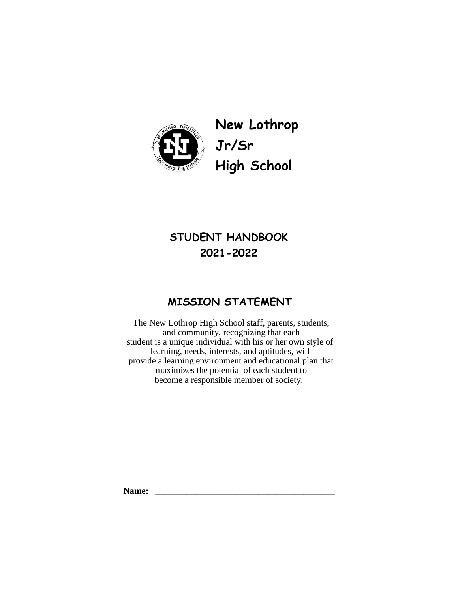

**New Lothrop Jr/Sr High School** 

# **STUDENT HANDBOOK 2021-2022**

# **MISSION STATEMENT**

The New Lothrop High School staff, parents, students, and community, recognizing that each student is a unique individual with his or her own style of learning, needs, interests, and aptitudes, will provide a learning environment and educational plan that maximizes the potential of each student to become a responsible member of society.

**Name: \_\_\_\_\_\_\_\_\_\_\_\_\_\_\_\_\_\_\_\_\_\_\_\_\_\_\_\_\_\_\_\_\_\_\_\_\_\_\_\_**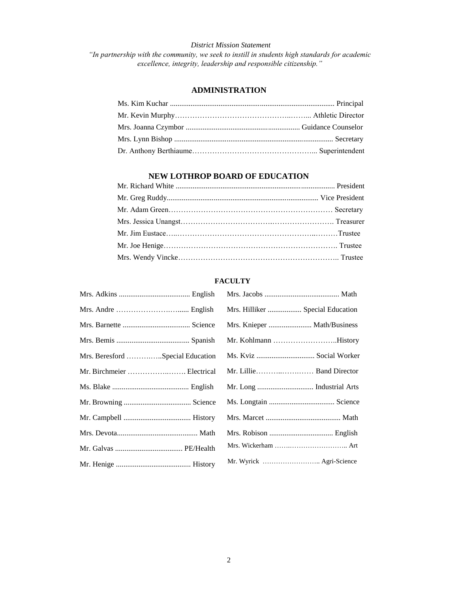# *District Mission Statement "In partnership with the community, we seek to instill in students high standards for academic excellence, integrity, leadership and responsible citizenship."*

# **ADMINISTRATION**

# **NEW LOTHROP BOARD OF EDUCATION**

# **FACULTY**

|                                  | Mrs. Hilliker  Special Education |
|----------------------------------|----------------------------------|
|                                  | Mrs. Knieper  Math/Business      |
|                                  | Mr. Kohlmann History             |
| Mrs. Beresford Special Education | Ms. Kviz  Social Worker          |
| Mr. Birchmeier  Electrical       |                                  |
|                                  |                                  |
|                                  |                                  |
|                                  |                                  |
|                                  |                                  |
|                                  |                                  |
|                                  | Mr. Wyrick  Agri-Science         |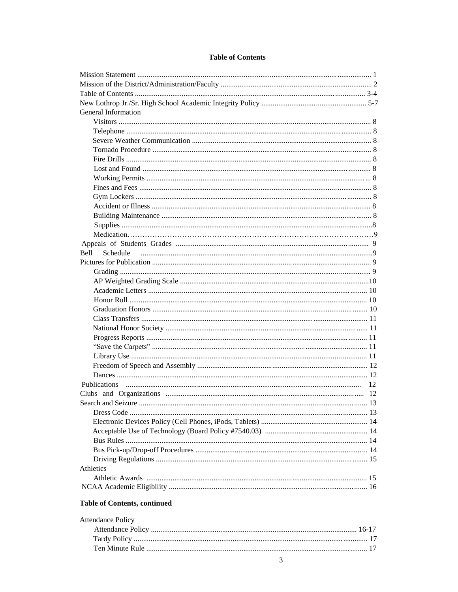# **Table of Contents**

| General Information     |  |
|-------------------------|--|
|                         |  |
|                         |  |
|                         |  |
|                         |  |
|                         |  |
|                         |  |
|                         |  |
|                         |  |
|                         |  |
|                         |  |
|                         |  |
|                         |  |
|                         |  |
|                         |  |
| <b>Bell</b><br>Schedule |  |
|                         |  |
|                         |  |
|                         |  |
|                         |  |
|                         |  |
|                         |  |
|                         |  |
|                         |  |
|                         |  |
|                         |  |
|                         |  |
|                         |  |
|                         |  |
|                         |  |
|                         |  |
|                         |  |
|                         |  |
|                         |  |
|                         |  |
|                         |  |
|                         |  |
|                         |  |
| Athletics               |  |
|                         |  |
|                         |  |
|                         |  |

# **Table of Contents, continued**

| <b>Attendance Policy</b> |  |
|--------------------------|--|
|                          |  |
|                          |  |
|                          |  |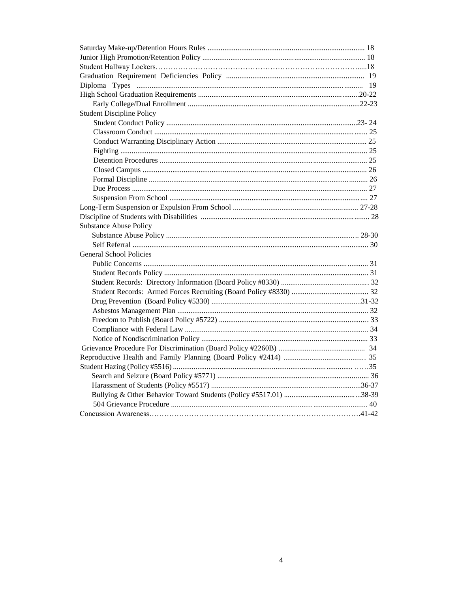| <b>Student Discipline Policy</b> |  |
|----------------------------------|--|
|                                  |  |
|                                  |  |
|                                  |  |
|                                  |  |
|                                  |  |
|                                  |  |
|                                  |  |
|                                  |  |
|                                  |  |
|                                  |  |
|                                  |  |
| <b>Substance Abuse Policy</b>    |  |
|                                  |  |
|                                  |  |
| <b>General School Policies</b>   |  |
|                                  |  |
|                                  |  |
|                                  |  |
|                                  |  |
|                                  |  |
|                                  |  |
|                                  |  |
|                                  |  |
|                                  |  |
|                                  |  |
|                                  |  |
|                                  |  |
|                                  |  |
|                                  |  |
|                                  |  |
|                                  |  |
|                                  |  |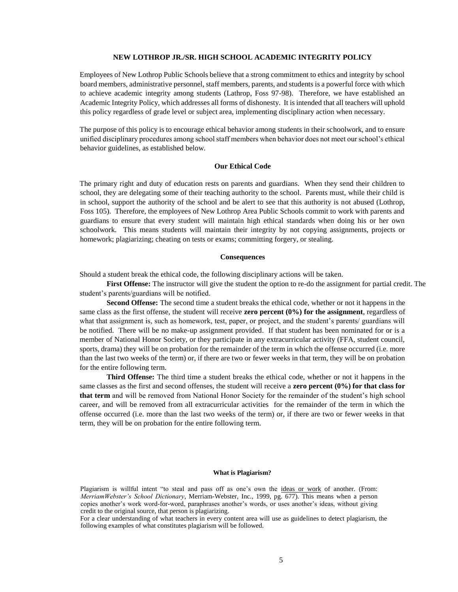# **NEW LOTHROP JR./SR. HIGH SCHOOL ACADEMIC INTEGRITY POLICY**

Employees of New Lothrop Public Schools believe that a strong commitment to ethics and integrity by school board members, administrative personnel, staff members, parents, and students is a powerful force with which to achieve academic integrity among students (Lathrop, Foss 97-98). Therefore, we have established an Academic Integrity Policy, which addresses all forms of dishonesty. It is intended that all teachers will uphold this policy regardless of grade level or subject area, implementing disciplinary action when necessary.

The purpose of this policy is to encourage ethical behavior among students in their schoolwork, and to ensure unified disciplinary procedures among school staff members when behavior does not meet our school's ethical behavior guidelines, as established below.

# **Our Ethical Code**

The primary right and duty of education rests on parents and guardians. When they send their children to school, they are delegating some of their teaching authority to the school. Parents must, while their child is in school, support the authority of the school and be alert to see that this authority is not abused (Lothrop, Foss 105). Therefore, the employees of New Lothrop Area Public Schools commit to work with parents and guardians to ensure that every student will maintain high ethical standards when doing his or her own schoolwork. This means students will maintain their integrity by not copying assignments, projects or homework; plagiarizing; cheating on tests or exams; committing forgery, or stealing.

# **Consequences**

Should a student break the ethical code, the following disciplinary actions will be taken.

**First Offense:** The instructor will give the student the option to re-do the assignment for partial credit. The student's parents/guardians will be notified.

**Second Offense:** The second time a student breaks the ethical code, whether or not it happens in the same class as the first offense, the student will receive **zero percent (0%) for the assignment**, regardless of what that assignment is, such as homework, test, paper, or project, and the student's parents/ guardians will be notified. There will be no make-up assignment provided. If that student has been nominated for or is a member of National Honor Society, or they participate in any extracurricular activity (FFA, student council, sports, drama) they will be on probation for the remainder of the term in which the offense occurred (i.e. more than the last two weeks of the term) or, if there are two or fewer weeks in that term, they will be on probation for the entire following term.

**Third Offense:** The third time a student breaks the ethical code, whether or not it happens in the same classes as the first and second offenses, the student will receive a **zero percent (0%) for that class for that term** and will be removed from National Honor Society for the remainder of the student's high school career, and will be removed from all extracurricular activities for the remainder of the term in which the offense occurred (i.e. more than the last two weeks of the term) or, if there are two or fewer weeks in that term, they will be on probation for the entire following term.

#### **What is Plagiarism?**

Plagiarism is willful intent "to steal and pass off as one's own the ideas or work of another. (From: *MerriamWebster's School Dictionary*, Merriam-Webster, Inc., 1999, pg. 677). This means when a person copies another's work word-for-word, paraphrases another's words, or uses another's ideas, without giving credit to the original source, that person is plagiarizing.

For a clear understanding of what teachers in every content area will use as guidelines to detect plagiarism, the following examples of what constitutes plagiarism will be followed.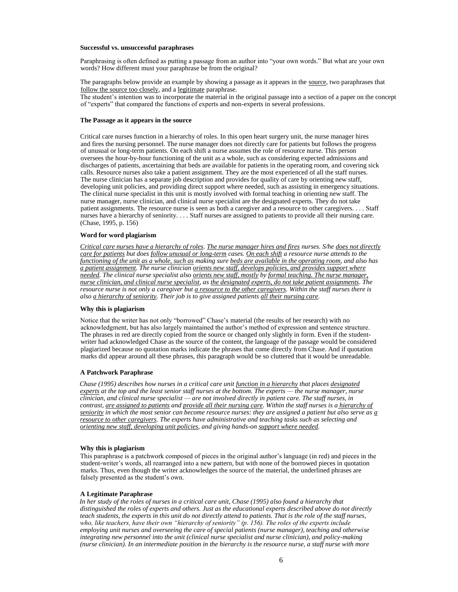#### **Successful vs. unsuccessful paraphrases**

Paraphrasing is often defined as putting a passage from an author into "your own words." But what are your own words? How different must your paraphrase be from the original?

The paragraphs below provide an example by showing a passage as it appears in th[e source, t](http://writing.wisc.edu/Handbook/QPA_paraphrase.html#source)wo paraphrases that [follow the source too closely, a](http://writing.wisc.edu/Handbook/QPA_paraphrase.html#tooclose)nd [a legitimate](http://writing.wisc.edu/Handbook/QPA_paraphrase.html#legit) paraphrase. The student's intention was to incorporate the material in the original passage into a section of a paper on the concept

of "experts" that compared the functions of experts and non-experts in several professions.

#### **The Passage as it appears in the source**

Critical care nurses function in a hierarchy of roles. In this open heart surgery unit, the nurse manager hires and fires the nursing personnel. The nurse manager does not directly care for patients but follows the progress of unusual or long-term patients. On each shift a nurse assumes the role of resource nurse. This person oversees the hour-by-hour functioning of the unit as a whole, such as considering expected admissions and discharges of patients, ascertaining that beds are available for patients in the operating room, and covering sick calls. Resource nurses also take a patient assignment. They are the most experienced of all the staff nurses. The nurse clinician has a separate job description and provides for quality of care by orienting new staff, developing unit policies, and providing direct support where needed, such as assisting in emergency situations. The clinical nurse specialist in this unit is mostly involved with formal teaching in orienting new staff. The nurse manager, nurse clinician, and clinical nurse specialist are the designated experts. They do not take patient assignments. The resource nurse is seen as both a caregiver and a resource to other caregivers. . . . Staff nurses have a hierarchy of seniority. . . . Staff nurses are assigned to patients to provide all their nursing care. (Chase, 1995, p. 156)

#### **Word for word plagiarism**

*Critical care nurses have a hierarchy of roles. The nurse manager hires and fires nurses. S/he does not directly care for patients but does follow unusual or long-term cases. On each shift a resource nurse attends to the functioning of the unit as a whole, such as making sure beds are available in the operating room, and also has a patient assignment. The nurse clinician orients new staff, develops policies, and provides support where needed. The clinical nurse specialist also orients new staff, mostly by formal teaching. The nurse manager, nurse clinician, and clinical nurse specialist, as the designated experts, do not take patient assignments. The resource nurse is not only a caregiver but a resource to the other caregivers. Within the staff nurses there is also a hierarchy of seniority. Their job is to give assigned patients all their nursing care.* 

# **Why this is plagiarism**

Notice that the writer has not only "borrowed" Chase's material (the results of her research) with no acknowledgment, but has also largely maintained the author's method of expression and sentence structure. The phrases in red are directly copied from the source or changed only slightly in form. Even if the studentwriter had acknowledged Chase as the source of the content, the language of the passage would be considered plagiarized because no quotation marks indicate the phrases that come directly from Chase. And if quotation marks did appear around all these phrases, this paragraph would be so cluttered that it would be unreadable.

# **A Patchwork Paraphrase**

*Chase (1995) describes how nurses in a critical care unit function in a hierarchy that places designated experts at the top and the least senior staff nurses at the bottom. The experts — the nurse manager, nurse clinician, and clinical nurse specialist — are not involved directly in patient care. The staff nurses, in contrast, are assigned to patients and provide all their nursing care. Within the staff nurses is a hierarchy of seniority in which the most senior can become resource nurses: they are assigned a patient but also serve as a resource to other caregivers. The experts have administrative and teaching tasks such as selecting and orienting new staff, developing unit policies, and giving hands-on support where needed.* 

#### **Why this is plagiarism**

This paraphrase is a patchwork composed of pieces in the original author's language (in red) and pieces in the student-writer's words, all rearranged into a new pattern, but with none of the borrowed pieces in quotation marks. Thus, even though the writer acknowledges the source of the material, the underlined phrases are falsely presented as the student's own.

#### **A Legitimate Paraphrase**

*In her study of the roles of nurses in a critical care unit, Chase (1995) also found a hierarchy that distinguished the roles of experts and others. Just as the educational experts described above do not directly teach students, the experts in this unit do not directly attend to patients. That is the role of the staff nurses, who, like teachers, have their own "hierarchy of seniority" (p. 156). The roles of the experts include employing unit nurses and overseeing the care of special patients (nurse manager), teaching and otherwise integrating new personnel into the unit (clinical nurse specialist and nurse clinician), and policy-making (nurse clinician). In an intermediate position in the hierarchy is the resource nurse, a staff nurse with more*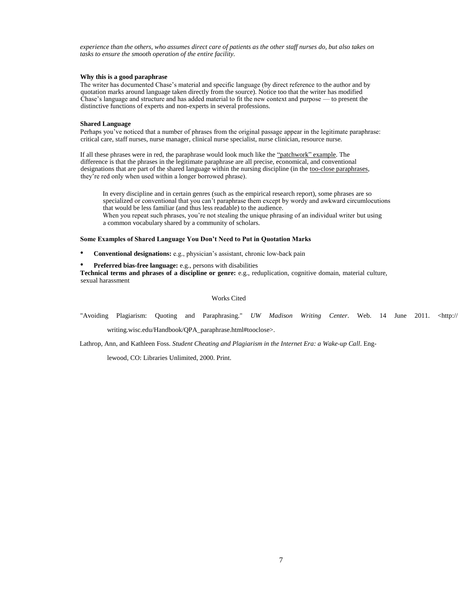*experience than the others, who assumes direct care of patients as the other staff nurses do, but also takes on tasks to ensure the smooth operation of the entire facility.* 

#### **Why this is a good paraphrase**

The writer has documented Chase's material and specific language (by direct reference to the author and by quotation marks around language taken directly from the source). Notice too that the writer has modified Chase's language and structure and has added material to fit the new context and purpose — to present the distinctive functions of experts and non-experts in several professions.

#### **Shared Language**

Perhaps you've noticed that a number of phrases from the original passage appear in the legitimate paraphrase: critical care, staff nurses, nurse manager, clinical nurse specialist, nurse clinician, resource nurse.

If all these phrases were in red, the paraphrase would look much like th[e "patchwork" example. T](http://writing.wisc.edu/Handbook/QPA_paraphrase.html#patch)he difference is that the phrases in the legitimate paraphrase are all precise, economical, and conventional designations that are part of the shared language within the nursing discipline (in the [too-close paraphrases,](http://writing.wisc.edu/Handbook/QPA_paraphrase.html#tooclose)  they're red only when used within a longer borrowed phrase).

In every discipline and in certain genres (such as the empirical research report), some phrases are so specialized or conventional that you can't paraphrase them except by wordy and awkward circumlocutions that would be less familiar (and thus less readable) to the audience. When you repeat such phrases, you're not stealing the unique phrasing of an individual writer but using a common vocabulary shared by a community of scholars.

#### **Some Examples of Shared Language You Don't Need to Put in Quotation Marks**

- **Conventional designations:** e.g., physician's assistant, chronic low-back pain
- **Preferred bias-free language:** e.g., persons with disabilities

**Technical terms and phrases of a discipline or genre:** e.g., reduplication, cognitive domain, material culture, sexual harassment

# Works Cited

"Avoiding Plagiarism: Quoting and Paraphrasing." *UW Madison Writing Center*. Web. 14 June 2011. <http://

writing.wisc.edu/Handbook/QPA\_paraphrase.html#tooclose>.

Lathrop, Ann, and Kathleen Foss. *Student Cheating and Plagiarism in the Internet Era: a Wake-up Call*. Eng-

lewood, CO: Libraries Unlimited, 2000. Print.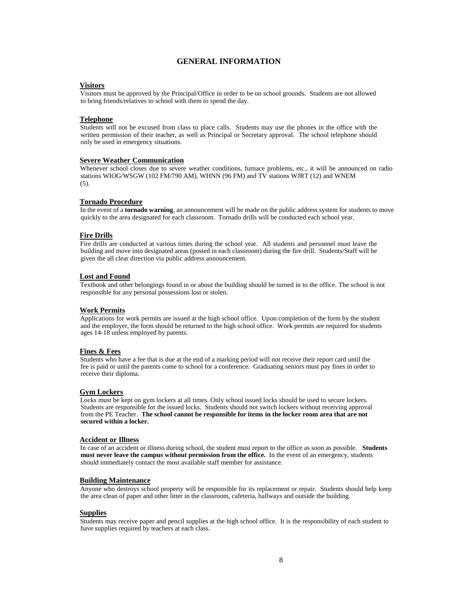# **GENERAL INFORMATION**

# **Visitors**

Visitors must be approved by the Principal/Office in order to be on school grounds. Students are not allowed to bring friends/relatives to school with them to spend the day.

# **Telephone**

Students will not be excused from class to place calls. Students may use the phones in the office with the written permission of their teacher, as well as Principal or Secretary approval. The school telephone should only be used in emergency situations.

# **Severe Weather Communication**

Whenever school closes due to severe weather conditions, furnace problems, etc., it will be announced on radio stations WIOG/WSGW (102 FM/790 AM), WHNN (96 FM) and TV stations WJRT (12) and WNEM (5).

# **Tornado Procedure**

In the event of a **tornado warning**, an announcement will be made on the public address system for students to move quickly to the area designated for each classroom. Tornado drills will be conducted each school year.

# **Fire Drills**

Fire drills are conducted at various times during the school year. All students and personnel must leave the building and move into designated areas (posted in each classroom) during the fire drill. Students/Staff will be given the all clear direction via public address announcement.

# **Lost and Found**

Textbook and other belongings found in or about the building should be turned in to the office. The school is not responsible for any personal possessions lost or stolen.

# **Work Permits**

Applications for work permits are issued at the high school office. Upon completion of the form by the student and the employer, the form should be returned to the high school office. Work permits are required for students ages 14-18 unless employed by parents.

# **Fines & Fees**

Students who have a fee that is due at the end of a marking period will not receive their report card until the fee is paid or until the parents come to school for a conference. Graduating seniors must pay fines in order to receive their diploma.

# **Gym Lockers**

Locks must be kept on gym lockers at all times. Only school issued locks should be used to secure lockers. Students are responsible for the issued locks. Students should not switch lockers without receiving approval from the PE Teacher. **The school cannot be responsible for items in the locker room area that are not secured within a locker.** 

# **Accident or Illness**

In case of an accident or illness during school, the student must report to the office as soon as possible. **Students must never leave the campus without permission from the office.** In the event of an emergency, students should immediately contact the most available staff member for assistance.

# **Building Maintenance**

Anyone who destroys school property will be responsible for its replacement or repair. Students should help keep the area clean of paper and other litter in the classroom, cafeteria, hallways and outside the building.

# **Supplies**

Students may receive paper and pencil supplies at the high school office. It is the responsibility of each student to have supplies required by teachers at each class.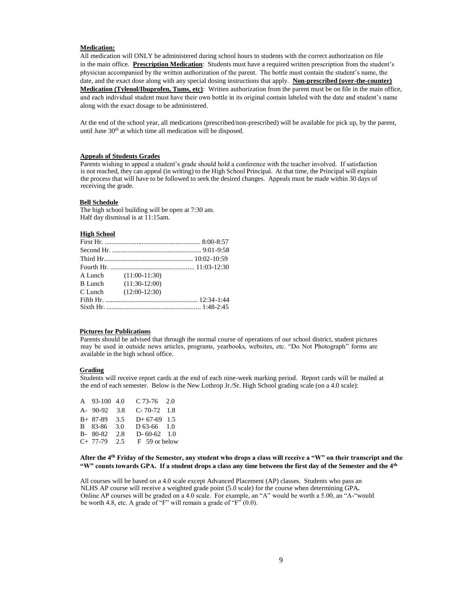#### **Medication:**

All medication will ONLY be administered during school hours to students with the correct authorization on file in the main office. **Prescription Medication**: Students must have a required written prescription from the student's physician accompanied by the written authorization of the parent. The bottle must contain the student's name, the date, and the exact dose along with any special dosing instructions that apply. **Non-prescribed (over-the-counter) Medication (Tylenol/Ibuprofen, Tums, etc)**: Written authorization from the parent must be on file in the main office, and each individual student must have their own bottle in its original contain labeled with the date and student's name along with the exact dosage to be administered.

At the end of the school year, all medications (prescribed/non-prescribed) will be available for pick up, by the parent, until June 30<sup>th</sup> at which time all medication will be disposed.

# **Appeals of Students Grades**

Parents wishing to appeal a student's grade should hold a conference with the teacher involved. If satisfaction is not reached, they can appeal (in writing) to the High School Principal. At that time, the Principal will explain the process that will have to be followed to seek the desired changes. Appeals must be made within 30 days of receiving the grade.

#### **Bell Schedule**

The high school building will be open at 7:30 am. Half day dismissal is at 11:15am.

## **High School**

| A Lunch (11:00-11:30)<br>$(11:30-12:00)$<br>C Lunch $(12:00-12:30)$ |
|---------------------------------------------------------------------|

# **Pictures for Publications**

Parents should be advised that through the normal course of operations of our school district, student pictures may be used in outside news articles, programs, yearbooks, websites, etc. "Do Not Photograph" forms are available in the high school office.

#### **Grading**

Students will receive report cards at the end of each nine-week marking period. Report cards will be mailed at the end of each semester. Below is the New Lothrop Jr./Sr. High School grading scale (on a 4.0 scale):

| A 93-100 4.0 |      | $C$ 73-76 2.0  |  |
|--------------|------|----------------|--|
| A- 90-92     | -3.8 | $C-70-72$ 1.8  |  |
| $B+ 87-89$   | 3.5  | $D+67-69$ 1.5  |  |
| B 83-86      | 3.0  | $D\,63-66$ 1.0 |  |
| $B-80-82$    | 2.8  | $D-60-62$ 1.0  |  |
| $C+ 77-79$   | 2.5  | F 59 or below  |  |

# **After the 4th Friday of the Semester, any student who drops a class will receive a "W" on their transcript and the "W" counts towards GPA. If a student drops a class any time between the first day of the Semester and the 4th**

All courses will be based on a 4.0 scale except Advanced Placement (AP) classes. Students who pass an NLHS AP course will receive a weighted grade point (5.0 scale) for the course when determining GPA*.* Online AP courses will be graded on a 4.0 scale. For example, an "A" would be worth a 5.00, an "A-"would be worth 4.8, etc. A grade of "F" will remain a grade of "F" $(0.0)$ .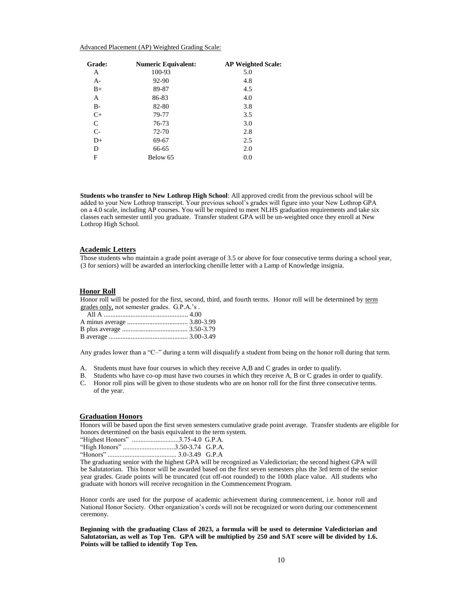#### Advanced Placement (AP) Weighted Grading Scale:

| Grade: | <b>Numeric Equivalent:</b> | <b>AP Weighted Scale:</b> |
|--------|----------------------------|---------------------------|
| А      | 100-93                     | 5.0                       |
| $A-$   | 92-90                      | 4.8                       |
| $B+$   | 89-87                      | 4.5                       |
| A      | 86-83                      | 4.0                       |
| B-     | 82-80                      | 3.8                       |
| $C+$   | 79-77                      | 3.5                       |
| C      | 76-73                      | 3.0                       |
| $C-$   | 72-70                      | 2.8                       |
| $D+$   | 69-67                      | 2.5                       |
| D      | 66-65                      | 2.0                       |
| F      | Below 65                   | 0.0                       |

**Students who transfer to New Lothrop High School**: All approved credit from the previous school will be added to your New Lothrop transcript. Your previous school's grades will figure into your New Lothrop GPA on a 4.0 scale, including AP courses. You will be required to meet NLHS graduation requirements and take six classes each semester until you graduate. Transfer student GPA will be un-weighted once they enroll at New Lothrop High School.

# **Academic Letters**

Those students who maintain a grade point average of 3.5 or above for four consecutive terms during a school year, (3 for seniors) will be awarded an interlocking chenille letter with a Lamp of Knowledge insignia.

#### **Honor Roll**

Honor roll will be posted for the first, second, third, and fourth terms. Honor roll will be determined by term grades only, not semester grades. G.P.A.'s .

Any grades lower than a "C–" during a term will disqualify a student from being on the honor roll during that term.

- A. Students must have four courses in which they receive A,B and C grades in order to qualify.
- B. Students who have co-op must have two courses in which they receive A, B or C grades in order to qualify.
- C. Honor roll pins will be given to those students who are on honor roll for the first three consecutive terms. of the year.

#### **Graduation Honors**

Honors will be based upon the first seven semesters cumulative grade point average. Transfer students are eligible for honors determined on the basis equivalent to the term system.

|                         | "High Honors" 3.50-3.74 G.P.A. |  |
|-------------------------|--------------------------------|--|
| $H_{\alpha n \alpha r}$ | $20240$ CDA                    |  |

"Honors" ......................................... 3.0-3.49 G.P.A

The graduating senior with the highest GPA will be recognized as Valedictorian; the second highest GPA will be Salutatorian. This honor will be awarded based on the first seven semesters plus the 3rd term of the senior year grades. Grade points will be truncated (cut off-not rounded) to the 100th place value. All students who graduate with honors will receive recognition in the Commencement Program.

Honor cords are used for the purpose of academic achievement during commencement, i.e. honor roll and National Honor Society. Other organization's cords will not be recognized or worn during our commencement ceremony.

**Beginning with the graduating Class of 2023, a formula will be used to determine Valedictorian and Salutatorian, as well as Top Ten. GPA will be multiplied by 250 and SAT score will be divided by 1.6. Points will be tallied to identify Top Ten.**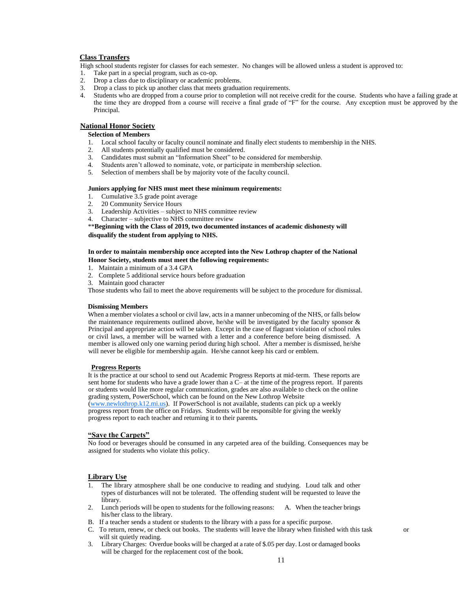# **Class Transfers**

High school students register for classes for each semester. No changes will be allowed unless a student is approved to:

- 1. Take part in a special program, such as co-op.
- 2. Drop a class due to disciplinary or academic problems.
- 3. Drop a class to pick up another class that meets graduation requirements.
- 4. Students who are dropped from a course prior to completion will not receive credit for the course. Students who have a failing grade at the time they are dropped from a course will receive a final grade of "F" for the course. Any exception must be approved by the Principal.

# **National Honor Society**

# **Selection of Members**

- 1. Local school faculty or faculty council nominate and finally elect students to membership in the NHS.
- 2. All students potentially qualified must be considered.
- 3. Candidates must submit an "Information Sheet" to be considered for membership.
- 4. Students aren't allowed to nominate, vote, or participate in membership selection.<br>5. Selection of members shall be by majority vote of the faculty council.
- 5. Selection of members shall be by majority vote of the faculty council.

## **Juniors applying for NHS must meet these minimum requirements:**

- 1. Cumulative 3.5 grade point average
- 2. 20 Community Service Hours
- 3. Leadership Activities subject to NHS committee review
- 4. Character subjective to NHS committee review

\*\***Beginning with the Class of 2019, two documented instances of academic dishonesty will disqualify the student from applying to NHS.** 

# **In order to maintain membership once accepted into the New Lothrop chapter of the National Honor Society, students must meet the following requirements:**

- 1. Maintain a minimum of a 3.4 GPA
- 2. Complete 5 additional service hours before graduation
- 3. Maintain good character

Those students who fail to meet the above requirements will be subject to the procedure for dismissal.

# **Dismissing Members**

When a member violates a school or civil law, acts in a manner unbecoming of the NHS, or falls below the maintenance requirements outlined above, he/she will be investigated by the faculty sponsor  $\&$ Principal and appropriate action will be taken. Except in the case of flagrant violation of school rules or civil laws, a member will be warned with a letter and a conference before being dismissed. A member is allowed only one warning period during high school. After a member is dismissed, he/she will never be eligible for membership again. He/she cannot keep his card or emblem.

# **Progress Reports**

It is the practice at our school to send out Academic Progress Reports at mid-term. These reports are sent home for students who have a grade lower than a C– at the time of the progress report. If parents or students would like more regular communication, grades are also available to check on the online grading system, PowerSchool, which can be found on the New Lothrop Website

[\(www.newlothrop.k12.mi.us\).](http://www.newlothrop.k12.mi.us/) If PowerSchool is not available, students can pick up a weekly progress report from the office on Fridays. Students will be responsible for giving the weekly progress report to each teacher and returning it to their parents*.*

# **"Save the Carpets"**

No food or beverages should be consumed in any carpeted area of the building. Consequences may be assigned for students who violate this policy.

# **Library Use**

- 1. The library atmosphere shall be one conducive to reading and studying. Loud talk and other types of disturbances will not be tolerated. The offending student will be requested to leave the library.
- 2. Lunch periods will be open to students for the following reasons: A. When the teacher brings his/her class to the library.
- B. If a teacher sends a student or students to the library with a pass for a specific purpose.
- C. To return, renew, or check out books. The students will leave the library when finished with this task or will sit quietly reading.
- 3. Library Charges: Overdue books will be charged at a rate of \$.05 per day. Lost or damaged books will be charged for the replacement cost of the book.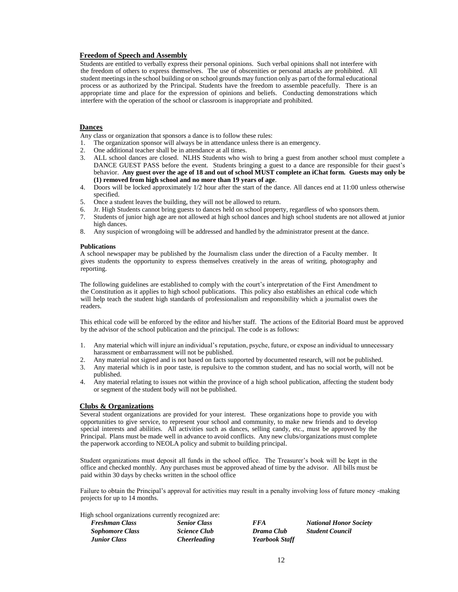# **Freedom of Speech and Assembly**

Students are entitled to verbally express their personal opinions. Such verbal opinions shall not interfere with the freedom of others to express themselves. The use of obscenities or personal attacks are prohibited. All student meetings in the school building or on school grounds may function only as part of the formal educational process or as authorized by the Principal. Students have the freedom to assemble peacefully. There is an appropriate time and place for the expression of opinions and beliefs. Conducting demonstrations which interfere with the operation of the school or classroom is inappropriate and prohibited.

# **Dances**

Any class or organization that sponsors a dance is to follow these rules:

- 1. The organization sponsor will always be in attendance unless there is an emergency.
- 2. One additional teacher shall be in attendance at all times.
- 3. ALL school dances are closed. NLHS Students who wish to bring a guest from another school must complete a DANCE GUEST PASS before the event. Students bringing a guest to a dance are responsible for their guest's behavior. **Any guest over the age of 18 and out of school MUST complete an iChat form. Guests may only be (1) removed from high school and no more than 19 years of age**.
- 4. Doors will be locked approximately 1/2 hour after the start of the dance. All dances end at 11:00 unless otherwise specified.
- 5. Once a student leaves the building, they will not be allowed to return.
- 6. Jr. High Students cannot bring guests to dances held on school property, regardless of who sponsors them.
- 7. Students of junior high age are not allowed at high school dances and high school students are not allowed at junior high dances.
- 8. Any suspicion of wrongdoing will be addressed and handled by the administrator present at the dance.

#### **Publications**

A school newspaper may be published by the Journalism class under the direction of a Faculty member. It gives students the opportunity to express themselves creatively in the areas of writing, photography and reporting.

The following guidelines are established to comply with the court's interpretation of the First Amendment to the Constitution as it applies to high school publications. This policy also establishes an ethical code which will help teach the student high standards of professionalism and responsibility which a journalist owes the readers.

This ethical code will be enforced by the editor and his/her staff. The actions of the Editorial Board must be approved by the advisor of the school publication and the principal. The code is as follows:

- 1. Any material which will injure an individual's reputation, psyche, future, or expose an individual to unnecessary harassment or embarrassment will not be published.
- 2. Any material not signed and is not based on facts supported by documented research, will not be published.
- 3. Any material which is in poor taste, is repulsive to the common student, and has no social worth, will not be published.
- 4. Any material relating to issues not within the province of a high school publication, affecting the student body or segment of the student body will not be published.

# **Clubs & Organizations**

Several student organizations are provided for your interest. These organizations hope to provide you with opportunities to give service, to represent your school and community, to make new friends and to develop special interests and abilities. All activities such as dances, selling candy, etc., must be approved by the Principal. Plans must be made well in advance to avoid conflicts. Any new clubs/organizations must complete the paperwork according to NEOLA policy and submit to building principal.

Student organizations must deposit all funds in the school office. The Treasurer's book will be kept in the office and checked monthly. Any purchases must be approved ahead of time by the advisor. All bills must be paid within 30 days by checks written in the school office

Failure to obtain the Principal's approval for activities may result in a penalty involving loss of future money -making projects for up to 14 months.

High school organizations currently recognized are:

| <b>Freshman Class</b>  | <b>Senior Class</b> | <i>FFA</i>            | <b>National Honor Society</b> |
|------------------------|---------------------|-----------------------|-------------------------------|
| <b>Sophomore Class</b> | <i>Science Club</i> | Drama Club            | <b>Student Council</b>        |
| <b>Junior Class</b>    | <i>Cheerleading</i> | <b>Yearbook Staff</b> |                               |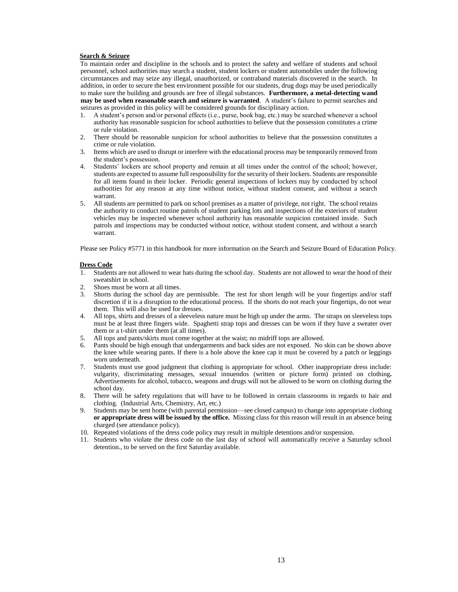### **Search & Seizure**

To maintain order and discipline in the schools and to protect the safety and welfare of students and school personnel, school authorities may search a student, student lockers or student automobiles under the following circumstances and may seize any illegal, unauthorized, or contraband materials discovered in the search. In addition, in order to secure the best environment possible for our students, drug dogs may be used periodically to make sure the building and grounds are free of illegal substances. **Furthermore, a metal-detecting wand may be used when reasonable search and seizure is warranted**. A student's failure to permit searches and seizures as provided in this policy will be considered grounds for disciplinary action.

- 1. A student's person and/or personal effects (i.e., purse, book bag, etc.) may be searched whenever a school authority has reasonable suspicion for school authorities to believe that the possession constitutes a crime or rule violation.
- 2. There should be reasonable suspicion for school authorities to believe that the possession constitutes a crime or rule violation.
- 3. Items which are used to disrupt or interfere with the educational process may be temporarily removed from the student's possession.
- 4. Students' lockers are school property and remain at all times under the control of the school; however, students are expected to assume full responsibility for the security of their lockers. Students are responsible for all items found in their locker. Periodic general inspections of lockers may by conducted by school authorities for any reason at any time without notice, without student consent, and without a search warrant.
- 5. All students are permitted to park on school premises as a matter of privilege, not right. The school retains the authority to conduct routine patrols of student parking lots and inspections of the exteriors of student vehicles may be inspected whenever school authority has reasonable suspicion contained inside. Such patrols and inspections may be conducted without notice, without student consent, and without a search warrant.

Please see Policy #5771 in this handbook for more information on the Search and Seizure Board of Education Policy.

#### **Dress Code**

- 1. Students are not allowed to wear hats during the school day. Students are not allowed to wear the hood of their sweatshirt in school.
- 2. Shoes must be worn at all times.
- 3. Shorts during the school day are permissible. The test for short length will be your fingertips and/or staff discretion if it is a disruption to the educational process. If the shorts do not reach your fingertips, do not wear them. This will also be used for dresses.
- 4. All tops, shirts and dresses of a sleeveless nature must be high up under the arms. The straps on sleeveless tops must be at least three fingers wide.Spaghetti strap tops and dresses can be worn if they have a sweater over them or a t-shirt under them (at all times).
- 5. All tops and pants/skirts must come together at the waist; no midriff tops are allowed.
- 6. Pants should be high enough that undergarments and back sides are not exposed. No skin can be shown above the knee while wearing pants. If there is a hole above the knee cap it must be covered by a patch or leggings worn underneath.
- 7. Students must use good judgment that clothing is appropriate for school. Other inappropriate dress include: vulgarity, discriminating messages, sexual innuendos (written or picture form) printed on clothing**.**  Advertisements for alcohol, tobacco, weapons and drugs will not be allowed to be worn on clothing during the school day.
- 8. There will be safety regulations that will have to be followed in certain classrooms in regards to hair and clothing. (Industrial Arts, Chemistry, Art, etc.)
- 9. Students may be sent home (with parental permission—see closed campus) to change into appropriate clothing **or appropriate dress will be issued by the office.** Missing class for this reason will result in an absence being charged (see attendance policy).
- 10. Repeated violations of the dress code policy may result in multiple detentions and/or suspension.
- 11. Students who violate the dress code on the last day of school will automatically receive a Saturday school detention., to be served on the first Saturday available.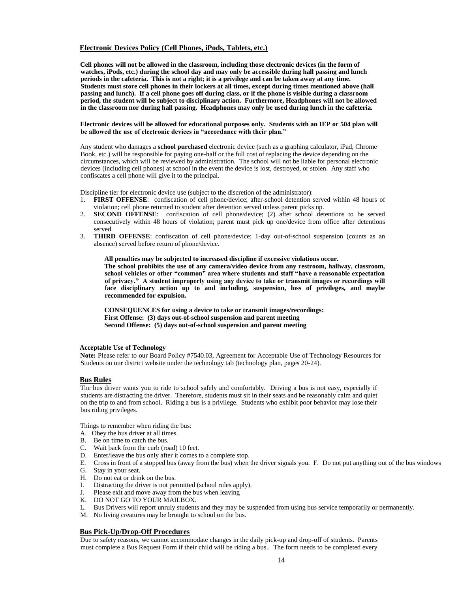# **Electronic Devices Policy (Cell Phones, iPods, Tablets, etc.)**

**Cell phones will not be allowed in the classroom, including those electronic devices (in the form of watches, iPods, etc.) during the school day and may only be accessible during hall passing and lunch periods in the cafeteria. This is not a right; it is a privilege and can be taken away at any time. Students must store cell phones in their lockers at all times, except during times mentioned above (hall passing and lunch). If a cell phone goes off during class, or if the phone is visible during a classroom period, the student will be subject to disciplinary action. Furthermore, Headphones will not be allowed in the classroom nor during hall passing. Headphones may only be used during lunch in the cafeteria.** 

#### **Electronic devices will be allowed for educational purposes only. Students with an IEP or 504 plan will be allowed the use of electronic devices in "accordance with their plan."**

Any student who damages a **school purchased** electronic device (such as a graphing calculator, iPad, Chrome Book, etc.) will be responsible for paying one-half or the full cost of replacing the device depending on the circumstances, which will be reviewed by administration. The school will not be liable for personal electronic devices (including cell phones) at school in the event the device is lost, destroyed, or stolen. Any staff who confiscates a cell phone will give it to the principal.

Discipline tier for electronic device use (subject to the discretion of the administrator):

- 1. **FIRST OFFENSE**: confiscation of cell phone/device; after-school detention served within 48 hours of violation; cell phone returned to student after detention served unless parent picks up.
- 2. **SECOND OFFENSE**: confiscation of cell phone/device; (2) after school detentions to be served consecutively within 48 hours of violation; parent must pick up one/device from office after detentions served.
- 3. **THIRD OFFENSE**: confiscation of cell phone/device; 1-day out-of-school suspension (counts as an absence) served before return of phone/device.

**All penalties may be subjected to increased discipline if excessive violations occur. The school prohibits the use of any camera/video device from any restroom, hallway, classroom, school vehicles or other "common" area where students and staff "have a reasonable expectation of privacy." A student improperly using any device to take or transmit images or recordings will face disciplinary action up to and including, suspension, loss of privileges, and maybe recommended for expulsion.**

**CONSEQUENCES for using a device to take or transmit images/recordings: First Offense: (3) days out-of-school suspension and parent meeting Second Offense: (5) days out-of-school suspension and parent meeting**

# **Acceptable Use of Technology**

**Note:** Please refer to our Board Policy #7540.03, Agreement for Acceptable Use of Technology Resources for Students on our district website under the technology tab (technology plan, pages 20-24).

# **Bus Rules**

The bus driver wants you to ride to school safely and comfortably. Driving a bus is not easy, especially if students are distracting the driver. Therefore, students must sit in their seats and be reasonably calm and quiet on the trip to and from school. Riding a bus is a privilege. Students who exhibit poor behavior may lose their bus riding privileges.

Things to remember when riding the bus:

- A. Obey the bus driver at all times.
- B. Be on time to catch the bus.
- C. Wait back from the curb (road) 10 feet.
- D. Enter/leave the bus only after it comes to a complete stop.
- E. Cross in front of a stopped bus (away from the bus) when the driver signals you. F. Do not put anything out of the bus windows
- G. Stay in your seat.
- H. Do not eat or drink on the bus.
- I. Distracting the driver is not permitted (school rules apply).<br>
J. Please exit and move away from the bus when leaving
- Please exit and move away from the bus when leaving
- K. DO NOT GO TO YOUR MAILBOX.
- L. Bus Drivers will report unruly students and they may be suspended from using bus service temporarily or permanently.
- M. No living creatures may be brought to school on the bus.

# **Bus Pick-Up/Drop-Off Procedures**

Due to safety reasons, we cannot accommodate changes in the daily pick-up and drop-off of students. Parents must complete a Bus Request Form if their child will be riding a bus.. The form needs to be completed every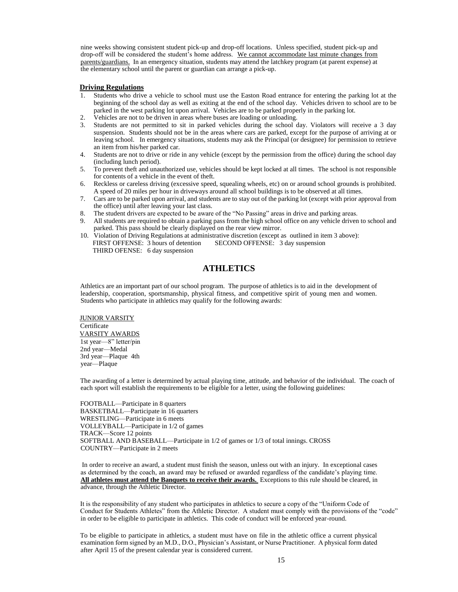nine weeks showing consistent student pick-up and drop-off locations. Unless specified, student pick-up and drop-off will be considered the student's home address. We cannot accommodate last minute changes from parents/guardians. In an emergency situation, students may attend the latchkey program (at parent expense) at the elementary school until the parent or guardian can arrange a pick-up.

# **Driving Regulations**

- 1. Students who drive a vehicle to school must use the Easton Road entrance for entering the parking lot at the beginning of the school day as well as exiting at the end of the school day. Vehicles driven to school are to be parked in the west parking lot upon arrival. Vehicles are to be parked properly in the parking lot.
- 2. Vehicles are not to be driven in areas where buses are loading or unloading.
- 3. Students are not permitted to sit in parked vehicles during the school day. Violators will receive a 3 day suspension. Students should not be in the areas where cars are parked, except for the purpose of arriving at or leaving school. In emergency situations, students may ask the Principal (or designee) for permission to retrieve an item from his/her parked car.
- 4. Students are not to drive or ride in any vehicle (except by the permission from the office) during the school day (including lunch period).
- 5. To prevent theft and unauthorized use, vehicles should be kept locked at all times. The school is not responsible for contents of a vehicle in the event of theft.
- 6. Reckless or careless driving (excessive speed, squealing wheels, etc) on or around school grounds is prohibited. A speed of 20 miles per hour in driveways around all school buildings is to be observed at all times.
- 7. Cars are to be parked upon arrival, and students are to stay out of the parking lot (except with prior approval from the office) until after leaving your last class.
- 8. The student drivers are expected to be aware of the "No Passing" areas in drive and parking areas.
- 9. All students are required to obtain a parking pass from the high school office on any vehicle driven to school and parked. This pass should be clearly displayed on the rear view mirror.
- 10. Violation of Driving Regulations at administrative discretion (except as outlined in item 3 above): FIRST OFFENSE: 3 hours of detention SECOND OFFENSE: 3 day suspension THIRD OFENSE: 6 day suspension

# **ATHLETICS**

Athletics are an important part of our school program. The purpose of athletics is to aid in the development of leadership, cooperation, sportsmanship, physical fitness, and competitive spirit of young men and women. Students who participate in athletics may qualify for the following awards:

JUNIOR VARSITY Certificate VARSITY AWARDS 1st year—8" letter/pin 2nd year—Medal 3rd year—Plaque 4th year—Plaque

The awarding of a letter is determined by actual playing time, attitude, and behavior of the individual. The coach of each sport will establish the requirements to be eligible for a letter, using the following guidelines:

FOOTBALL—Participate in 8 quarters BASKETBALL—Participate in 16 quarters WRESTLING—Participate in 6 meets VOLLEYBALL—Participate in 1/2 of games TRACK—Score 12 points SOFTBALL AND BASEBALL—Participate in 1/2 of games or 1/3 of total innings. CROSS COUNTRY—Participate in 2 meets

In order to receive an award, a student must finish the season, unless out with an injury. In exceptional cases as determined by the coach, an award may be refused or awarded regardless of the candidate's playing time. **All athletes must attend the Banquets to receive their awards.** Exceptions to this rule should be cleared, in advance, through the Athletic Director.

It is the responsibility of any student who participates in athletics to secure a copy of the "Uniform Code of Conduct for Students Athletes" from the Athletic Director. A student must comply with the provisions of the "code" in order to be eligible to participate in athletics. This code of conduct will be enforced year-round.

To be eligible to participate in athletics, a student must have on file in the athletic office a current physical examination form signed by an M.D., D.O., Physician's Assistant, or Nurse Practitioner. A physical form dated after April 15 of the present calendar year is considered current.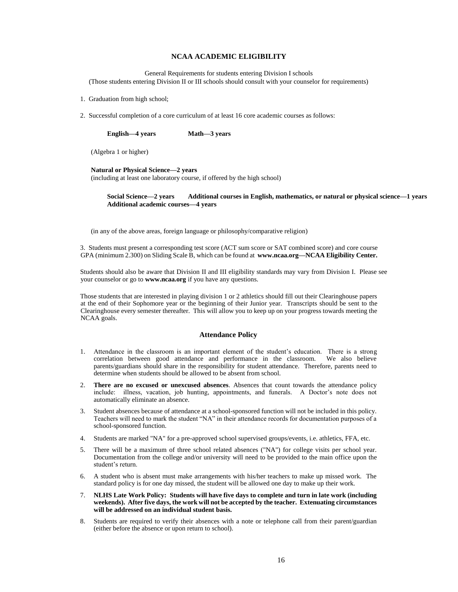# **NCAA ACADEMIC ELIGIBILITY**

General Requirements for students entering Division I schools (Those students entering Division II or III schools should consult with your counselor for requirements)

- 1. Graduation from high school;
- 2. Successful completion of a core curriculum of at least 16 core academic courses as follows:

**English—4 years Math—3 years** 

(Algebra 1 or higher)

#### **Natural or Physical Science—2 years**

(including at least one laboratory course, if offered by the high school)

**Social Science—2 years Additional courses in English, mathematics, or natural or physical science—1 years Additional academic courses—4 years** 

(in any of the above areas, foreign language or philosophy/comparative religion)

3. Students must present a corresponding test score (ACT sum score or SAT combined score) and core course GPA (minimum 2.300) on Sliding Scale B, which can be found at **www.ncaa.org—NCAA Eligibility Center.**

Students should also be aware that Division II and III eligibility standards may vary from Division I. Please see your counselor or go to **www.ncaa.org** if you have any questions.

Those students that are interested in playing division 1 or 2 athletics should fill out their Clearinghouse papers at the end of their Sophomore year or the beginning of their Junior year. Transcripts should be sent to the Clearinghouse every semester thereafter. This will allow you to keep up on your progress towards meeting the NCAA goals.

### **Attendance Policy**

- 1. Attendance in the classroom is an important element of the student's education. There is a strong correlation between good attendance and performance in the classroom. We also believe parents/guardians should share in the responsibility for student attendance. Therefore, parents need to determine when students should be allowed to be absent from school.
- 2. **There are no excused or unexcused absences**. Absences that count towards the attendance policy include: illness, vacation, job hunting, appointments, and funerals. A Doctor's note does not automatically eliminate an absence.
- 3. Student absences because of attendance at a school-sponsored function will not be included in this policy. Teachers will need to mark the student "NA" in their attendance records for documentation purposes of a school-sponsored function.
- 4. Students are marked "NA" for a pre-approved school supervised groups/events, i.e. athletics, FFA, etc.
- 5. There will be a maximum of three school related absences ("NA") for college visits per school year. Documentation from the college and/or university will need to be provided to the main office upon the student's return.
- 6. A student who is absent must make arrangements with his/her teachers to make up missed work. The standard policy is for one day missed, the student will be allowed one day to make up their work.
- 7. **NLHS Late Work Policy: Students will have five days to complete and turn in late work (including weekends). After five days, the work will not be accepted by the teacher. Extenuating circumstances will be addressed on an individual student basis.**
- 8. Students are required to verify their absences with a note or telephone call from their parent/guardian (either before the absence or upon return to school).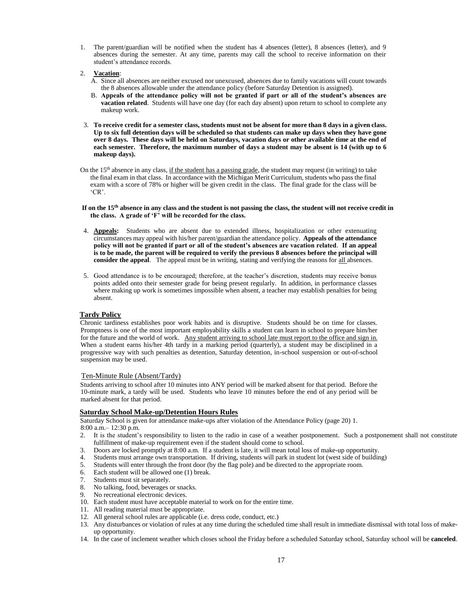- 1. The parent/guardian will be notified when the student has 4 absences (letter), 8 absences (letter), and 9 absences during the semester. At any time, parents may call the school to receive information on their student's attendance records.
- 2. **Vacation**:
	- A. Since all absences are neither excused nor unexcused, absences due to family vacations will count towards the 8 absences allowable under the attendance policy (before Saturday Detention is assigned).
	- B. **Appeals of the attendance policy will not be granted if part or all of the student's absences are vacation related**. Students will have one day (for each day absent) upon return to school to complete any makeup work.
- 3. **To receive credit for a semester class, students must not be absent for more than 8 days in a given class. Up to six full detention days will be scheduled so that students can make up days when they have gone over 8 days. These days will be held on Saturdays, vacation days or other available time at the end of each semester. Therefore, the maximum number of days a student may be absent is 14 (with up to 6 makeup days).**
- On the  $15<sup>th</sup>$  absence in any class, if the student has a passing grade, the student may request (in writing) to take the final exam in that class. In accordance with the Michigan Merit Curriculum, students who pass the final exam with a score of 78% or higher will be given credit in the class. The final grade for the class will be 'CR'.
- **If on the 15th absence in any class and the student is not passing the class, the student will not receive credit in the class. A grade of 'F' will be recorded for the class.**
- 4. **Appeals:** Students who are absent due to extended illness, hospitalization or other extenuating circumstances may appeal with his/her parent/guardian the attendance policy. **Appeals of the attendance policy will not be granted if part or all of the student's absences are vacation related**. **If an appeal is to be made, the parent will be required to verify the previous 8 absences before the principal will consider the appeal**. The appeal must be in writing, stating and verifying the reasons for all absences.
- 5. Good attendance is to be encouraged; therefore, at the teacher's discretion, students may receive bonus points added onto their semester grade for being present regularly. In addition, in performance classes where making up work is sometimes impossible when absent, a teacher may establish penalties for being absent.

# **Tardy Policy**

Chronic tardiness establishes poor work habits and is disruptive. Students should be on time for classes. Promptness is one of the most important employability skills a student can learn in school to prepare him/her for the future and the world of work. Any student arriving to school late must report to the office and sign in. When a student earns his/her 4th tardy in a marking period (quarterly), a student may be disciplined in a progressive way with such penalties as detention, Saturday detention, in-school suspension or out-of-school suspension may be used.

# Ten-Minute Rule (Absent/Tardy)

Students arriving to school after 10 minutes into ANY period will be marked absent for that period. Before the 10-minute mark, a tardy will be used. Students who leave 10 minutes before the end of any period will be marked absent for that period.

# **Saturday School Make-up/Detention Hours Rules**

Saturday School is given for attendance make-ups after violation of the Attendance Policy (page 20) 1. 8:00 a.m.– 12:30 p.m.

- 2. It is the student's responsibility to listen to the radio in case of a weather postponement. Such a postponement shall not constitute fulfillment of make-up requirement even if the student should come to school.
- 3. Doors are locked promptly at 8:00 a.m. If a student is late, it will mean total loss of make-up opportunity.
- 4. Students must arrange own transportation. If driving, students will park in student lot (west side of building)
- 5. Students will enter through the front door (by the flag pole) and be directed to the appropriate room.
- 6. Each student will be allowed one (1) break.
- 7. Students must sit separately.
- 8. No talking, food, beverages or snacks.
- 9. No recreational electronic devices.
- 10. Each student must have acceptable material to work on for the entire time.
- 11. All reading material must be appropriate.
- 12. All general school rules are applicable (i.e. dress code, conduct, etc.)
- 13. Any disturbances or violation of rules at any time during the scheduled time shall result in immediate dismissal with total loss of makeup opportunity.
- 14. In the case of inclement weather which closes school the Friday before a scheduled Saturday school, Saturday school will be **canceled**.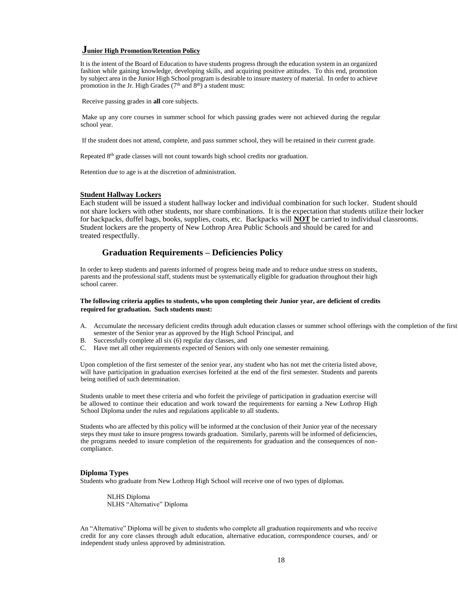# **Junior High Promotion/Retention Policy**

It is the intent of the Board of Education to have students progress through the education system in an organized fashion while gaining knowledge, developing skills, and acquiring positive attitudes. To this end, promotion by subject area in the Junior High School program is desirable to insure mastery of material. In order to achieve promotion in the Jr. High Grades ( $7<sup>th</sup>$  and  $8<sup>th</sup>$ ) a student must:

Receive passing grades in **all** core subjects.

Make up any core courses in summer school for which passing grades were not achieved during the regular school year.

If the student does not attend, complete, and pass summer school, they will be retained in their current grade.

Repeated 8th grade classes will not count towards high school credits nor graduation.

Retention due to age is at the discretion of administration.

# **Student Hallway Lockers**

Each student will be issued a student hallway locker and individual combination for such locker. Student should not share lockers with other students, nor share combinations. It is the expectation that students utilize their locker for backpacks, duffel bags, books, supplies, coats, etc. Backpacks will **NOT** be carried to individual classrooms. Student lockers are the property of New Lothrop Area Public Schools and should be cared for and treated respectfully.

# **Graduation Requirements – Deficiencies Policy**

In order to keep students and parents informed of progress being made and to reduce undue stress on students, parents and the professional staff, students must be systematically eligible for graduation throughout their high school career.

# **The following criteria applies to students, who upon completing their Junior year, are deficient of credits required for graduation. Such students must:**

- A. Accumulate the necessary deficient credits through adult education classes or summer school offerings with the completion of the first semester of the Senior year as approved by the High School Principal, and
- B. Successfully complete all six (6) regular day classes, and
- C. Have met all other requirements expected of Seniors with only one semester remaining.

Upon completion of the first semester of the senior year, any student who has not met the criteria listed above, will have participation in graduation exercises forfeited at the end of the first semester. Students and parents being notified of such determination.

Students unable to meet these criteria and who forfeit the privilege of participation in graduation exercise will be allowed to continue their education and work toward the requirements for earning a New Lothrop High School Diploma under the rules and regulations applicable to all students.

Students who are affected by this policy will be informed at the conclusion of their Junior year of the necessary steps they must take to insure progress towards graduation. Similarly, parents will be informed of deficiencies, the programs needed to insure completion of the requirements for graduation and the consequences of noncompliance.

# **Diploma Types**

Students who graduate from New Lothrop High School will receive one of two types of diplomas.

NLHS Diploma NLHS "Alternative" Diploma

An "Alternative" Diploma will be given to students who complete all graduation requirements and who receive credit for any core classes through adult education, alternative education, correspondence courses, and/ or independent study unless approved by administration.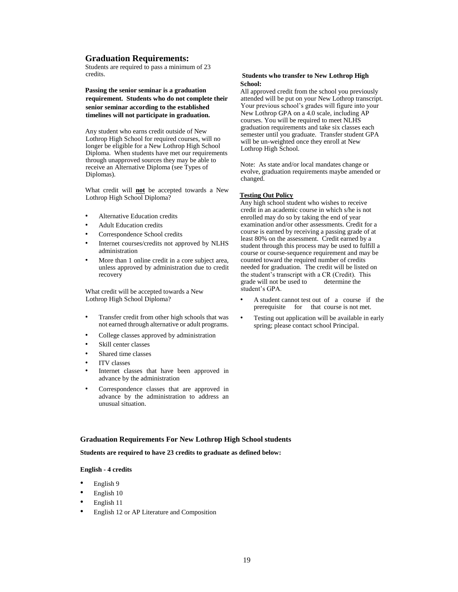# **Graduation Requirements:**

Students are required to pass a minimum of 23 credits.

**Passing the senior seminar is a graduation requirement. Students who do not complete their senior seminar according to the established timelines will not participate in graduation.** 

Any student who earns credit outside of New Lothrop High School for required courses, will no longer be eligible for a New Lothrop High School Diploma. When students have met our requirements through unapproved sources they may be able to receive an Alternative Diploma (see Types of Diplomas).

What credit will **not** be accepted towards a New Lothrop High School Diploma?

- Alternative Education credits
- Adult Education credits
- Correspondence School credits
- Internet courses/credits not approved by NLHS administration
- More than 1 online credit in a core subject area, unless approved by administration due to credit recovery

What credit will be accepted towards a New Lothrop High School Diploma?

- Transfer credit from other high schools that was not earned through alternative or adult programs.
- College classes approved by administration
- Skill center classes
- Shared time classes
- ITV classes
- Internet classes that have been approved in advance by the administration
- Correspondence classes that are approved in advance by the administration to address an unusual situation.

# **Graduation Requirements For New Lothrop High School students**

**Students are required to have 23 credits to graduate as defined below:** 

# **English - 4 credits**

- English 9
- English 10
- English 11
- English 12 or AP Literature and Composition

# **Students who transfer to New Lothrop High School:**

All approved credit from the school you previously attended will be put on your New Lothrop transcript. Your previous school's grades will figure into your New Lothrop GPA on a 4.0 scale, including AP courses. You will be required to meet NLHS graduation requirements and take six classes each semester until you graduate. Transfer student GPA will be un-weighted once they enroll at New Lothrop High School.

Note: As state and/or local mandates change or evolve, graduation requirements maybe amended or changed.

# **Testing Out Policy**

Any high school student who wishes to receive credit in an academic course in which s/he is not enrolled may do so by taking the end of year examination and/or other assessments. Credit for a course is earned by receiving a passing grade of at least 80% on the assessment. Credit earned by a student through this process may be used to fulfill a course or course-sequence requirement and may be counted toward the required number of credits needed for graduation. The credit will be listed on the student's transcript with a CR (Credit). This grade will not be used to determine the student's GPA.

- A student cannot test out of a course if the prerequisite for that course is not met.
- Testing out application will be available in early spring; please contact school Principal.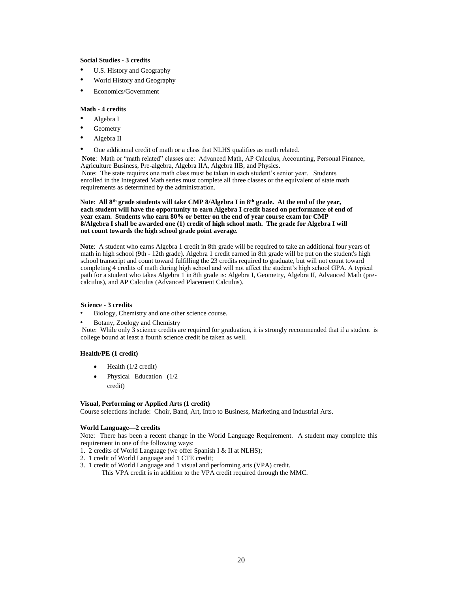# **Social Studies - 3 credits**

- U.S. History and Geography
- World History and Geography
- Economics/Government

# **Math - 4 credits**

- Algebra I
- **Geometry**
- Algebra II
- One additional credit of math or a class that NLHS qualifies as math related.

**Note**: Math or "math related" classes are: Advanced Math, AP Calculus, Accounting, Personal Finance, Agriculture Business, Pre-algebra, Algebra IIA, Algebra IIB, and Physics.

Note: The state requires one math class must be taken in each student's senior year. Students enrolled in the Integrated Math series must complete all three classes or the equivalent of state math requirements as determined by the administration.

**Note**: **All 8th grade students will take CMP 8/Algebra I in 8th grade. At the end of the year, each student will have the opportunity to earn Algebra I credit based on performance of end of year exam. Students who earn 80% or better on the end of year course exam for CMP 8/Algebra I shall be awarded one (1) credit of high school math. The grade for Algebra I will not count towards the high school grade point average.** 

**Note**: A student who earns Algebra 1 credit in 8th grade will be required to take an additional four years of math in high school (9th - 12th grade). Algebra 1 credit earned in 8th grade will be put on the student's high school transcript and count toward fulfilling the 23 credits required to graduate, but will not count toward completing 4 credits of math during high school and will not affect the student's high school GPA. A typical path for a student who takes Algebra 1 in 8th grade is: Algebra I, Geometry, Algebra II, Advanced Math (precalculus), and AP Calculus (Advanced Placement Calculus).

# **Science - 3 credits**

- Biology, Chemistry and one other science course.
- Botany, Zoology and Chemistry

Note: While only 3 science credits are required for graduation, it is strongly recommended that if a student is college bound at least a fourth science credit be taken as well.

# **Health/PE (1 credit)**

- Health (1/2 credit)
- Physical Education (1/2 credit)

# **Visual, Performing or Applied Arts (1 credit)**

Course selections include: Choir, Band, Art, Intro to Business, Marketing and Industrial Arts.

# **World Language—2 credits**

Note: There has been a recent change in the World Language Requirement. A student may complete this requirement in one of the following ways:

- 1. 2 credits of World Language (we offer Spanish I & II at NLHS);
- 2. 1 credit of World Language and 1 CTE credit;
- 3. 1 credit of World Language and 1 visual and performing arts (VPA) credit. This VPA credit is in addition to the VPA credit required through the MMC.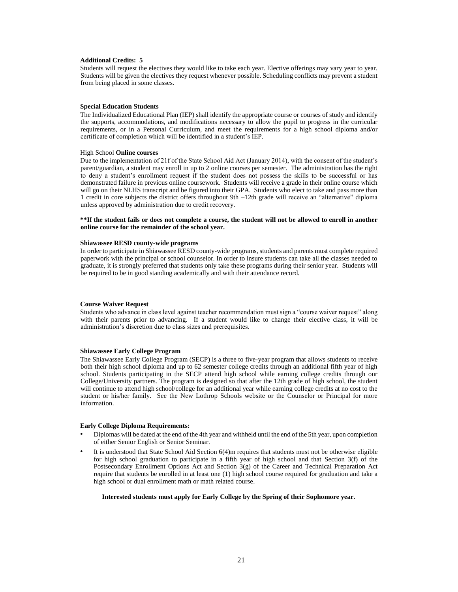#### **Additional Credits: 5**

Students will request the electives they would like to take each year. Elective offerings may vary year to year. Students will be given the electives they request whenever possible. Scheduling conflicts may prevent a student from being placed in some classes.

#### **Special Education Students**

The Individualized Educational Plan (IEP) shall identify the appropriate course or courses of study and identify the supports, accommodations, and modifications necessary to allow the pupil to progress in the curricular requirements, or in a Personal Curriculum, and meet the requirements for a high school diploma and/or certificate of completion which will be identified in a student's IEP.

# High School **Online courses**

Due to the implementation of 21f of the State School Aid Act (January 2014), with the consent of the student's parent/guardian, a student may enroll in up to 2 online courses per semester. The administration has the right to deny a student's enrollment request if the student does not possess the skills to be successful or has demonstrated failure in previous online coursework. Students will receive a grade in their online course which will go on their NLHS transcript and be figured into their GPA. Students who elect to take and pass more than 1 credit in core subjects the district offers throughout 9th –12th grade will receive an "alternative" diploma unless approved by administration due to credit recovery.

#### **\*\*If the student fails or does not complete a course, the student will not be allowed to enroll in another online course for the remainder of the school year.**

## **Shiawassee RESD county-wide programs**

In order to participate in Shiawassee RESD county-wide programs, students and parents must complete required paperwork with the principal or school counselor. In order to insure students can take all the classes needed to graduate, it is strongly preferred that students only take these programs during their senior year. Students will be required to be in good standing academically and with their attendance record.

#### **Course Waiver Request**

Students who advance in class level against teacher recommendation must sign a "course waiver request" along with their parents prior to advancing. If a student would like to change their elective class, it will be administration's discretion due to class sizes and prerequisites.

#### **Shiawassee Early College Program**

The Shiawassee Early College Program (SECP) is a three to five-year program that allows students to receive both their high school diploma and up to 62 semester college credits through an additional fifth year of high school. Students participating in the SECP attend high school while earning college credits through our College/University partners. The program is designed so that after the 12th grade of high school, the student will continue to attend high school/college for an additional year while earning college credits at no cost to the student or his/her family. See the New Lothrop Schools website or the Counselor or Principal for more information.

#### **Early College Diploma Requirements:**

- Diplomas will be dated at the end of the 4th year and withheld until the end of the 5th year, upon completion of either Senior English or Senior Seminar.
- It is understood that State School Aid Section 6(4)m requires that students must not be otherwise eligible for high school graduation to participate in a fifth year of high school and that Section 3(f) of the Postsecondary Enrollment Options Act and Section 3(g) of the Career and Technical Preparation Act require that students be enrolled in at least one (1) high school course required for graduation and take a high school or dual enrollment math or math related course.

#### **Interested students must apply for Early College by the Spring of their Sophomore year.**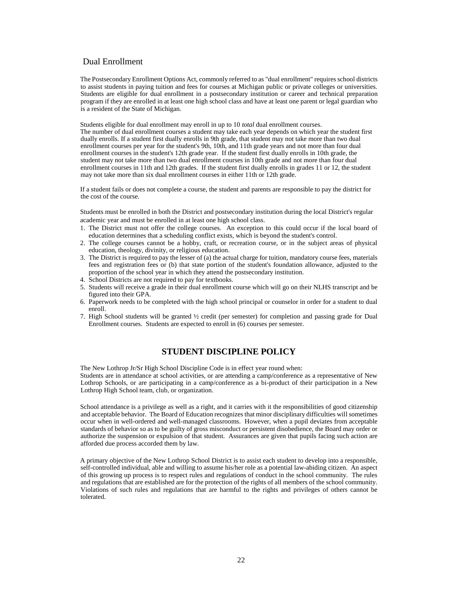# Dual Enrollment

The Postsecondary Enrollment Options Act, commonly referred to as "dual enrollment" requires school districts to assist students in paying tuition and fees for courses at Michigan public or private colleges or universities. Students are eligible for dual enrollment in a postsecondary institution or career and technical preparation program if they are enrolled in at least one high school class and have at least one parent or legal guardian who is a resident of the State of Michigan.

Students eligible for dual enrollment may enroll in up to 10 *total* dual enrollment courses. The number of dual enrollment courses a student may take each year depends on which year the student first dually enrolls. If a student first dually enrolls in 9th grade, that student may not take more than two dual enrollment courses per year for the student's 9th, 10th, and 11th grade years and not more than four dual enrollment courses in the student's 12th grade year. If the student first dually enrolls in 10th grade, the student may not take more than two dual enrollment courses in 10th grade and not more than four dual enrollment courses in 11th and 12th grades. If the student first dually enrolls in grades 11 or 12, the student may not take more than six dual enrollment courses in either 11th or 12th grade.

If a student fails or does not complete a course, the student and parents are responsible to pay the district for the cost of the course.

Students must be enrolled in both the District and postsecondary institution during the local District's regular academic year and must be enrolled in at least one high school class.

- 1. The District must not offer the college courses. An exception to this could occur if the local board of education determines that a scheduling conflict exists, which is beyond the student's control.
- 2. The college courses cannot be a hobby, craft, or recreation course, or in the subject areas of physical education, theology, divinity, or religious education.
- 3. The District is required to pay the lesser of (a) the actual charge for tuition, mandatory course fees, materials fees and registration fees or (b) that state portion of the student's foundation allowance, adjusted to the proportion of the school year in which they attend the postsecondary institution.
- 4. School Districts are not required to pay for textbooks.
- 5. Students will receive a grade in their dual enrollment course which will go on their NLHS transcript and be figured into their GPA.
- 6. Paperwork needs to be completed with the high school principal or counselor in order for a student to dual enroll.
- 7. High School students will be granted ½ credit (per semester) for completion and passing grade for Dual Enrollment courses. Students are expected to enroll in (6) courses per semester.

# **STUDENT DISCIPLINE POLICY**

The New Lothrop Jr/Sr High School Discipline Code is in effect year round when: Students are in attendance at school activities, or are attending a camp/conference as a representative of New Lothrop Schools, or are participating in a camp/conference as a bi-product of their participation in a New Lothrop High School team, club, or organization.

School attendance is a privilege as well as a right, and it carries with it the responsibilities of good citizenship and acceptable behavior. The Board of Education recognizes that minor disciplinary difficulties will sometimes occur when in well-ordered and well-managed classrooms. However, when a pupil deviates from acceptable standards of behavior so as to be guilty of gross misconduct or persistent disobedience, the Board may order or authorize the suspension or expulsion of that student. Assurances are given that pupils facing such action are afforded due process accorded them by law.

A primary objective of the New Lothrop School District is to assist each student to develop into a responsible, self-controlled individual, able and willing to assume his/her role as a potential law-abiding citizen. An aspect of this growing up process is to respect rules and regulations of conduct in the school community. The rules and regulations that are established are for the protection of the rights of all members of the school community. Violations of such rules and regulations that are harmful to the rights and privileges of others cannot be tolerated.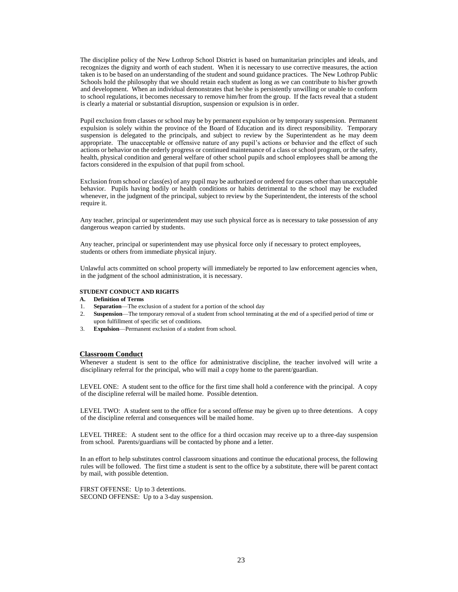The discipline policy of the New Lothrop School District is based on humanitarian principles and ideals, and recognizes the dignity and worth of each student. When it is necessary to use corrective measures, the action taken is to be based on an understanding of the student and sound guidance practices. The New Lothrop Public Schools hold the philosophy that we should retain each student as long as we can contribute to his/her growth and development. When an individual demonstrates that he/she is persistently unwilling or unable to conform to school regulations, it becomes necessary to remove him/her from the group. If the facts reveal that a student is clearly a material or substantial disruption, suspension or expulsion is in order.

Pupil exclusion from classes or school may be by permanent expulsion or by temporary suspension. Permanent expulsion is solely within the province of the Board of Education and its direct responsibility. Temporary suspension is delegated to the principals, and subject to review by the Superintendent as he may deem appropriate. The unacceptable or offensive nature of any pupil's actions or behavior and the effect of such actions or behavior on the orderly progress or continued maintenance of a class or school program, or the safety, health, physical condition and general welfare of other school pupils and school employees shall be among the factors considered in the expulsion of that pupil from school.

Exclusion from school or class(es) of any pupil may be authorized or ordered for causes other than unacceptable behavior. Pupils having bodily or health conditions or habits detrimental to the school may be excluded whenever, in the judgment of the principal, subject to review by the Superintendent, the interests of the school require it.

Any teacher, principal or superintendent may use such physical force as is necessary to take possession of any dangerous weapon carried by students.

Any teacher, principal or superintendent may use physical force only if necessary to protect employees, students or others from immediate physical injury.

Unlawful acts committed on school property will immediately be reported to law enforcement agencies when, in the judgment of the school administration, it is necessary.

#### **STUDENT CONDUCT AND RIGHTS**

- **A. Definition of Terms**
- 1. **Separation**—The exclusion of a student for a portion of the school day
- 2. **Suspension**—The temporary removal of a student from school terminating at the end of a specified period of time or upon fulfillment of specific set of conditions.
- 3. **Expulsion**—Permanent exclusion of a student from school.

#### **Classroom Conduct**

Whenever a student is sent to the office for administrative discipline, the teacher involved will write a disciplinary referral for the principal, who will mail a copy home to the parent/guardian.

LEVEL ONE: A student sent to the office for the first time shall hold a conference with the principal. A copy of the discipline referral will be mailed home. Possible detention.

LEVEL TWO: A student sent to the office for a second offense may be given up to three detentions. A copy of the discipline referral and consequences will be mailed home.

LEVEL THREE: A student sent to the office for a third occasion may receive up to a three-day suspension from school. Parents/guardians will be contacted by phone and a letter.

In an effort to help substitutes control classroom situations and continue the educational process, the following rules will be followed. The first time a student is sent to the office by a substitute, there will be parent contact by mail, with possible detention.

FIRST OFFENSE: Up to 3 detentions. SECOND OFFENSE: Up to a 3-day suspension.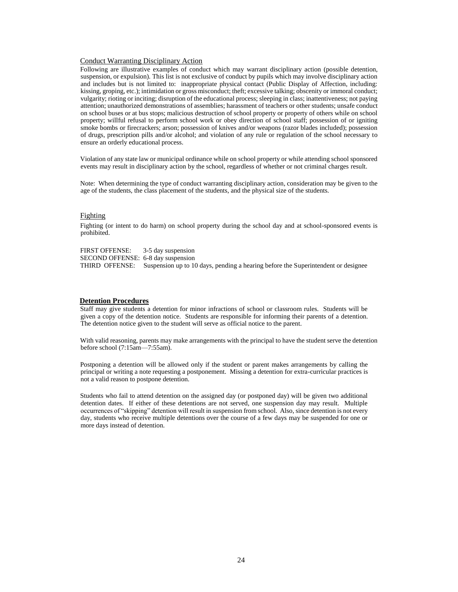### Conduct Warranting Disciplinary Action

Following are illustrative examples of conduct which may warrant disciplinary action (possible detention, suspension, or expulsion). This list is not exclusive of conduct by pupils which may involve disciplinary action and includes but is not limited to: inappropriate physical contact (Public Display of Affection, including: kissing, groping, etc.); intimidation or gross misconduct; theft; excessive talking; obscenity or immoral conduct; vulgarity; rioting or inciting; disruption of the educational process; sleeping in class; inattentiveness; not paying attention; unauthorized demonstrations of assemblies; harassment of teachers or other students; unsafe conduct on school buses or at bus stops; malicious destruction of school property or property of others while on school property; willful refusal to perform school work or obey direction of school staff; possession of or igniting smoke bombs or firecrackers; arson; possession of knives and/or weapons (razor blades included); possession of drugs, prescription pills and/or alcohol; and violation of any rule or regulation of the school necessary to ensure an orderly educational process.

Violation of any state law or municipal ordinance while on school property or while attending school sponsored events may result in disciplinary action by the school, regardless of whether or not criminal charges result.

Note: When determining the type of conduct warranting disciplinary action, consideration may be given to the age of the students, the class placement of the students, and the physical size of the students.

# Fighting

Fighting (or intent to do harm) on school property during the school day and at school-sponsored events is prohibited.

FIRST OFFENSE: 3-5 day suspension SECOND OFFENSE: 6-8 day suspension THIRD OFFENSE: Suspension up to 10 days, pending a hearing before the Superintendent or designee

#### **Detention Procedures**

Staff may give students a detention for minor infractions of school or classroom rules. Students will be given a copy of the detention notice. Students are responsible for informing their parents of a detention. The detention notice given to the student will serve as official notice to the parent.

With valid reasoning, parents may make arrangements with the principal to have the student serve the detention before school (7:15am—7:55am).

Postponing a detention will be allowed only if the student or parent makes arrangements by calling the principal or writing a note requesting a postponement. Missing a detention for extra-curricular practices is not a valid reason to postpone detention.

Students who fail to attend detention on the assigned day (or postponed day) will be given two additional detention dates. If either of these detentions are not served, one suspension day may result. Multiple occurrences of "skipping" detention will result in suspension from school. Also, since detention is not every day, students who receive multiple detentions over the course of a few days may be suspended for one or more days instead of detention.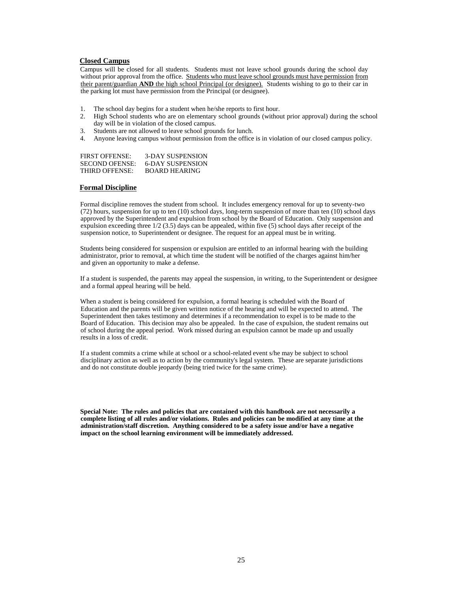# **Closed Campus**

Campus will be closed for all students. Students must not leave school grounds during the school day without prior approval from the office. Students who must leave school grounds must have permission from their parent/guardian **AND** the high school Principal (or designee). Students wishing to go to their car in the parking lot must have permission from the Principal (or designee).

- 1. The school day begins for a student when he/she reports to first hour.
- 2. High School students who are on elementary school grounds (without prior approval) during the school day will be in violation of the closed campus.
- 3. Students are not allowed to leave school grounds for lunch.
- 4. Anyone leaving campus without permission from the office is in violation of our closed campus policy.

| <b>FIRST OFFENSE:</b> | <b>3-DAY SUSPENSION</b> |
|-----------------------|-------------------------|
| <b>SECOND OFENSE:</b> | 6-DAY SUSPENSION        |
| THIRD OFFENSE:        | BOARD HEARING           |

# **Formal Discipline**

Formal discipline removes the student from school. It includes emergency removal for up to seventy-two (72) hours, suspension for up to ten (10) school days, long-term suspension of more than ten (10) school days approved by the Superintendent and expulsion from school by the Board of Education. Only suspension and expulsion exceeding three 1/2 (3.5) days can be appealed, within five (5) school days after receipt of the suspension notice, to Superintendent or designee. The request for an appeal must be in writing.

Students being considered for suspension or expulsion are entitled to an informal hearing with the building administrator, prior to removal, at which time the student will be notified of the charges against him/her and given an opportunity to make a defense.

If a student is suspended, the parents may appeal the suspension, in writing, to the Superintendent or designee and a formal appeal hearing will be held.

When a student is being considered for expulsion, a formal hearing is scheduled with the Board of Education and the parents will be given written notice of the hearing and will be expected to attend. The Superintendent then takes testimony and determines if a recommendation to expel is to be made to the Board of Education. This decision may also be appealed. In the case of expulsion, the student remains out of school during the appeal period. Work missed during an expulsion cannot be made up and usually results in a loss of credit.

If a student commits a crime while at school or a school-related event s/he may be subject to school disciplinary action as well as to action by the community's legal system. These are separate jurisdictions and do not constitute double jeopardy (being tried twice for the same crime).

**Special Note: The rules and policies that are contained with this handbook are not necessarily a complete listing of all rules and/or violations. Rules and policies can be modified at any time at the administration/staff discretion. Anything considered to be a safety issue and/or have a negative impact on the school learning environment will be immediately addressed.**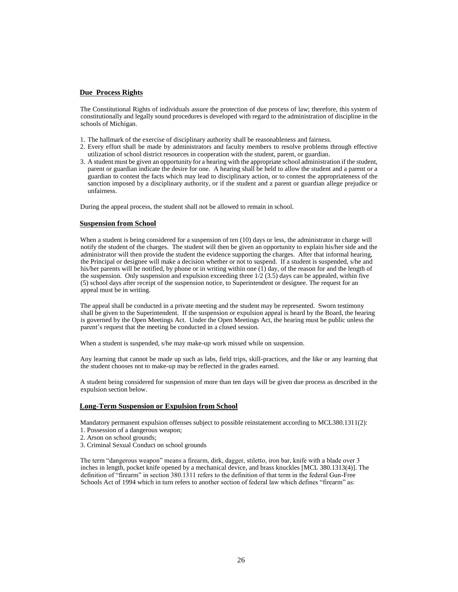# **Due Process Rights**

The Constitutional Rights of individuals assure the protection of due process of law; therefore, this system of constitutionally and legally sound procedures is developed with regard to the administration of discipline in the schools of Michigan.

- 1. The hallmark of the exercise of disciplinary authority shall be reasonableness and fairness.
- 2. Every effort shall be made by administrators and faculty members to resolve problems through effective utilization of school district resources in cooperation with the student, parent, or guardian.
- 3. A student must be given an opportunity for a hearing with the appropriate school administration if the student, parent or guardian indicate the desire for one. A hearing shall be held to allow the student and a parent or a guardian to contest the facts which may lead to disciplinary action, or to contest the appropriateness of the sanction imposed by a disciplinary authority, or if the student and a parent or guardian allege prejudice or unfairness.

During the appeal process, the student shall not be allowed to remain in school.

# **Suspension from School**

When a student is being considered for a suspension of ten (10) days or less, the administrator in charge will notify the student of the charges. The student will then be given an opportunity to explain his/her side and the administrator will then provide the student the evidence supporting the charges. After that informal hearing, the Principal or designee will make a decision whether or not to suspend. If a student is suspended, s/he and his/her parents will be notified, by phone or in writing within one  $(1)$  day, of the reason for and the length of the suspension. Only suspension and expulsion exceeding three  $1/2$  (3.5) days can be appealed, within five (5) school days after receipt of the suspension notice, to Superintendent or designee. The request for an appeal must be in writing.

The appeal shall be conducted in a private meeting and the student may be represented. Sworn testimony shall be given to the Superintendent. If the suspension or expulsion appeal is heard by the Board, the hearing is governed by the Open Meetings Act. Under the Open Meetings Act, the hearing must be public unless the parent's request that the meeting be conducted in a closed session.

When a student is suspended, s/he may make-up work missed while on suspension.

Any learning that cannot be made up such as labs, field trips, skill-practices, and the like or any learning that the student chooses not to make-up may be reflected in the grades earned.

A student being considered for suspension of more than ten days will be given due process as described in the expulsion section below.

# **Long-Term Suspension or Expulsion from School**

Mandatory permanent expulsion offenses subject to possible reinstatement according to MCL380.1311(2): 1. Possession of a dangerous weapon;

2. Arson on school grounds;

- 
- 3. Criminal Sexual Conduct on school grounds

The term "dangerous weapon" means a firearm, dirk, dagger, stiletto, iron bar, knife with a blade over 3 inches in length, pocket knife opened by a mechanical device, and brass knuckles [MCL 380.1313(4)]. The definition of "firearm" in section 380.1311 refers to the definition of that term in the federal Gun-Free Schools Act of 1994 which in turn refers to another section of federal law which defines "firearm" as: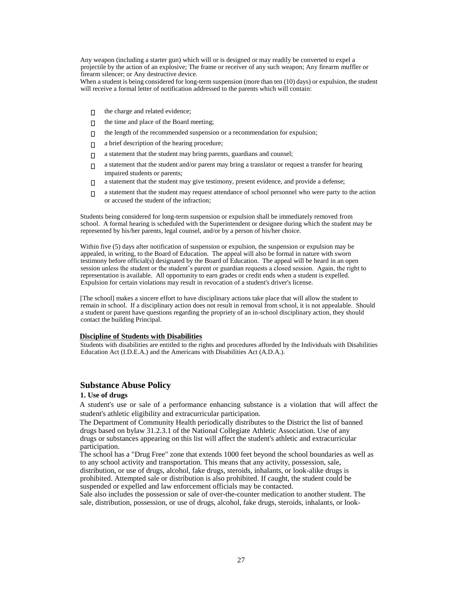Any weapon (including a starter gun) which will or is designed or may readily be converted to expel a projectile by the action of an explosive; The frame or receiver of any such weapon; Any firearm muffler or firearm silencer; or Any destructive device.

When a student is being considered for long-term suspension (more than ten (10) days) or expulsion, the student will receive a formal letter of notification addressed to the parents which will contain:

- the charge and related evidence;  $\Box$
- $\Box$ the time and place of the Board meeting;
- the length of the recommended suspension or a recommendation for expulsion;  $\Box$
- a brief description of the hearing procedure;  $\Box$
- a statement that the student may bring parents, guardians and counsel;  $\Box$
- $\Box$ a statement that the student and/or parent may bring a translator or request a transfer for hearing impaired students or parents;
- a statement that the student may give testimony, present evidence, and provide a defense;  $\Box$
- a statement that the student may request attendance of school personnel who were party to the action  $\Box$ or accused the student of the infraction;

Students being considered for long-term suspension or expulsion shall be immediately removed from school. A formal hearing is scheduled with the Superintendent or designee during which the student may be represented by his/her parents, legal counsel, and/or by a person of his/her choice.

Within five (5) days after notification of suspension or expulsion, the suspension or expulsion may be appealed, in writing, to the Board of Education. The appeal will also be formal in nature with sworn testimony before official(s) designated by the Board of Education. The appeal will be heard in an open session unless the student or the student's parent or guardian requests a closed session. Again, the right to representation is available. All opportunity to earn grades or credit ends when a student is expelled. Expulsion for certain violations may result in revocation of a student's driver's license.

[The school] makes a sincere effort to have disciplinary actions take place that will allow the student to remain in school. If a disciplinary action does not result in removal from school, it is not appealable. Should a student or parent have questions regarding the propriety of an in-school disciplinary action, they should contact the building Principal.

# **Discipline of Students with Disabilities**

Students with disabilities are entitled to the rights and procedures afforded by the Individuals with Disabilities Education Act (I.D.E.A.) and the Americans with Disabilities Act (A.D.A.).

# **Substance Abuse Policy**

# **1. Use of drugs**

A student's use or sale of a performance enhancing substance is a violation that will affect the student's athletic eligibility and extracurricular participation.

The Department of Community Health periodically distributes to the District the list of banned drugs based on bylaw 31.2.3.1 of the National Collegiate Athletic Association. Use of any drugs or substances appearing on this list will affect the student's athletic and extracurricular participation.

The school has a "Drug Free" zone that extends 1000 feet beyond the school boundaries as well as to any school activity and transportation. This means that any activity, possession, sale, distribution, or use of drugs, alcohol, fake drugs, steroids, inhalants, or look-alike drugs is prohibited. Attempted sale or distribution is also prohibited. If caught, the student could be suspended or expelled and law enforcement officials may be contacted.

Sale also includes the possession or sale of over-the-counter medication to another student. The sale, distribution, possession, or use of drugs, alcohol, fake drugs, steroids, inhalants, or look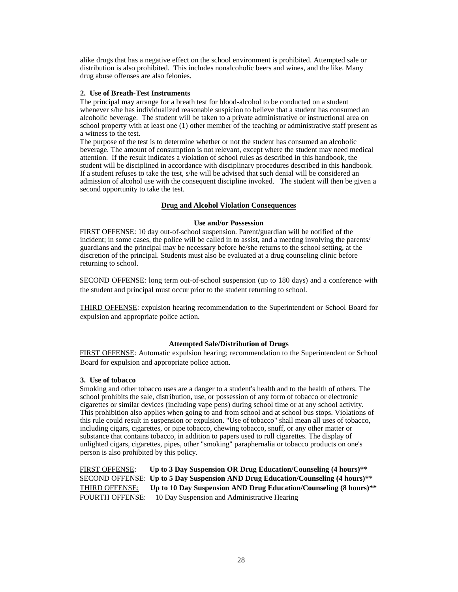alike drugs that has a negative effect on the school environment is prohibited. Attempted sale or distribution is also prohibited. This includes nonalcoholic beers and wines, and the like. Many drug abuse offenses are also felonies.

# **2. Use of Breath-Test Instruments**

The principal may arrange for a breath test for blood-alcohol to be conducted on a student whenever s/he has individualized reasonable suspicion to believe that a student has consumed an alcoholic beverage. The student will be taken to a private administrative or instructional area on school property with at least one (1) other member of the teaching or administrative staff present as a witness to the test.

The purpose of the test is to determine whether or not the student has consumed an alcoholic beverage. The amount of consumption is not relevant, except where the student may need medical attention. If the result indicates a violation of school rules as described in this handbook, the student will be disciplined in accordance with disciplinary procedures described in this handbook. If a student refuses to take the test, s/he will be advised that such denial will be considered an admission of alcohol use with the consequent discipline invoked. The student will then be given a second opportunity to take the test.

# **Drug and Alcohol Violation Consequences**

# **Use and/or Possession**

FIRST OFFENSE: 10 day out-of-school suspension. Parent/guardian will be notified of the incident; in some cases, the police will be called in to assist, and a meeting involving the parents/ guardians and the principal may be necessary before he/she returns to the school setting, at the discretion of the principal. Students must also be evaluated at a drug counseling clinic before returning to school.

SECOND OFFENSE: long term out-of-school suspension (up to 180 days) and a conference with the student and principal must occur prior to the student returning to school.

THIRD OFFENSE: expulsion hearing recommendation to the Superintendent or School Board for expulsion and appropriate police action.

# **Attempted Sale/Distribution of Drugs**

FIRST OFFENSE: Automatic expulsion hearing; recommendation to the Superintendent or School Board for expulsion and appropriate police action.

# **3. Use of tobacco**

Smoking and other tobacco uses are a danger to a student's health and to the health of others. The school prohibits the sale, distribution, use, or possession of any form of tobacco or electronic cigarettes or similar devices (including vape pens) during school time or at any school activity. This prohibition also applies when going to and from school and at school bus stops. Violations of this rule could result in suspension or expulsion. "Use of tobacco" shall mean all uses of tobacco, including cigars, cigarettes, or pipe tobacco, chewing tobacco, snuff, or any other matter or substance that contains tobacco, in addition to papers used to roll cigarettes. The display of unlighted cigars, cigarettes, pipes, other "smoking" paraphernalia or tobacco products on one's person is also prohibited by this policy.

FIRST OFFENSE: **Up to 3 Day Suspension OR Drug Education/Counseling (4 hours)\*\*** SECOND OFFENSE: **Up to 5 Day Suspension AND Drug Education/Counseling (4 hours)\*\*** THIRD OFFENSE: **Up to 10 Day Suspension AND Drug Education/Counseling (8 hours)\*\*** FOURTH OFFENSE: 10 Day Suspension and Administrative Hearing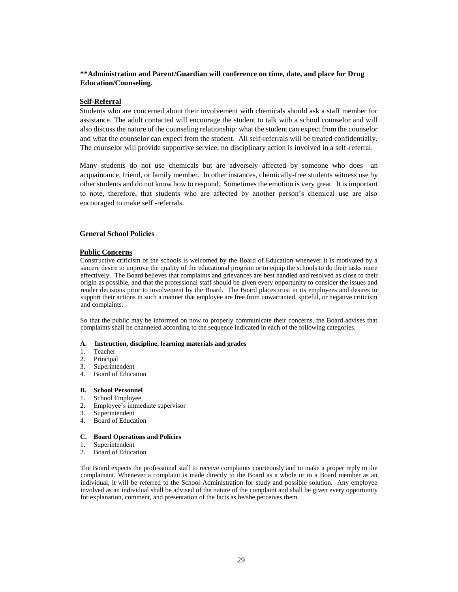# **\*\*Administration and Parent/Guardian will conference on time, date, and place for Drug Education/Counseling.**

# **Self-Referral**

Students who are concerned about their involvement with chemicals should ask a staff member for assistance. The adult contacted will encourage the student to talk with a school counselor and will also discuss the nature of the counseling relationship: what the student can expect from the counselor and what the counselor can expect from the student. All self-referrals will be treated confidentially. The counselor will provide supportive service; no disciplinary action is involved in a self-referral.

Many students do not use chemicals but are adversely affected by someone who does—an acquaintance, friend, or family member. In other instances, chemically-free students witness use by other students and do not know how to respond. Sometimes the emotion is very great. It is important to note, therefore, that students who are affected by another person's chemical use are also encouraged to make self -referrals.

# **General School Policies**

# **Public Concerns**

Constructive criticism of the schools is welcomed by the Board of Education whenever it is motivated by a sincere desire to improve the quality of the educational program or to equip the schools to do their tasks more effectively. The Board believes that complaints and grievances are best handled and resolved as close to their origin as possible, and that the professional staff should be given every opportunity to consider the issues and render decisions prior to involvement by the Board. The Board places trust in its employees and desires to support their actions in such a manner that employee are free from unwarranted, spiteful, or negative criticism and complaints.

So that the public may be informed on how to properly communicate their concerns, the Board advises that complaints shall be channeled according to the sequence indicated in each of the following categories.

# **A. Instruction, discipline, learning materials and grades**

- 1. Teacher
- 2. Principal<br>3. Superinte
- **Superintendent**
- 4. Board of Education

# **B. School Personnel**

- 1. School Employee
- 2. Employee's immediate supervisor
- 3. Superintendent
- 4. Board of Education

# **C. Board Operations and Policies**

- 1. Superintendent
- 2. Board of Education

The Board expects the professional staff to receive complaints courteously and to make a proper reply to the complainant. Whenever a complaint is made directly to the Board as a whole or to a Board member as an individual, it will be referred to the School Administration for study and possible solution. Any employee involved as an individual shall be advised of the nature of the complaint and shall be given every opportunity for explanation, comment, and presentation of the facts as he/she perceives them.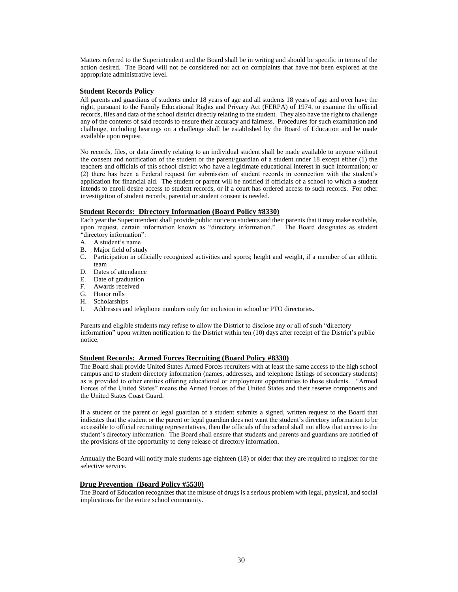Matters referred to the Superintendent and the Board shall be in writing and should be specific in terms of the action desired. The Board will not be considered nor act on complaints that have not been explored at the appropriate administrative level.

# **Student Records Policy**

All parents and guardians of students under 18 years of age and all students 18 years of age and over have the right, pursuant to the Family Educational Rights and Privacy Act (FERPA) of 1974, to examine the official records, files and data of the school district directly relating to the student. They also have the right to challenge any of the contents of said records to ensure their accuracy and fairness. Procedures for such examination and challenge, including hearings on a challenge shall be established by the Board of Education and be made available upon request.

No records, files, or data directly relating to an individual student shall be made available to anyone without the consent and notification of the student or the parent/guardian of a student under 18 except either (1) the teachers and officials of this school district who have a legitimate educational interest in such information; or (2) there has been a Federal request for submission of student records in connection with the student's application for financial aid. The student or parent will be notified if officials of a school to which a student intends to enroll desire access to student records, or if a court has ordered access to such records. For other investigation of student records, parental or student consent is needed.

# **Student Records: Directory Information (Board Policy #8330)**

Each year the Superintendent shall provide public notice to students and their parents that it may make available, upon request, certain information known as "directory information." The Board designates as student "directory information":

- A. A student's name
- B. Major field of study
- C. Participation in officially recognized activities and sports; height and weight, if a member of an athletic team
- D. Dates of attendance
- E. Date of graduation
- F. Awards received
- G. Honor rolls
- H. Scholarships
- I. Addresses and telephone numbers only for inclusion in school or PTO directories.

Parents and eligible students may refuse to allow the District to disclose any or all of such "directory information" upon written notification to the District within ten (10) days after receipt of the District's public notice.

# **Student Records: Armed Forces Recruiting (Board Policy #8330)**

The Board shall provide United States Armed Forces recruiters with at least the same access to the high school campus and to student directory information (names, addresses, and telephone listings of secondary students) as is provided to other entities offering educational or employment opportunities to those students. "Armed Forces of the United States" means the Armed Forces of the United States and their reserve components and the United States Coast Guard.

If a student or the parent or legal guardian of a student submits a signed, written request to the Board that indicates that the student or the parent or legal guardian does not want the student's directory information to be accessible to official recruiting representatives, then the officials of the school shall not allow that access to the student's directory information. The Board shall ensure that students and parents and guardians are notified of the provisions of the opportunity to deny release of directory information.

Annually the Board will notify male students age eighteen (18) or older that they are required to register for the selective service.

# **Drug Prevention (Board Policy #5530)**

The Board of Education recognizes that the misuse of drugs is a serious problem with legal, physical, and social implications for the entire school community.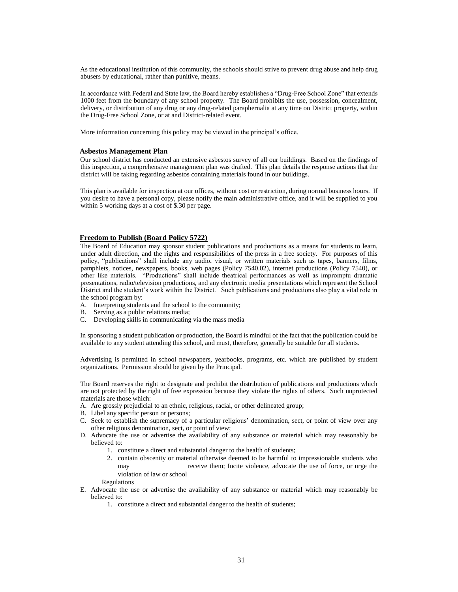As the educational institution of this community, the schools should strive to prevent drug abuse and help drug abusers by educational, rather than punitive, means.

In accordance with Federal and State law, the Board hereby establishes a "Drug-Free School Zone" that extends 1000 feet from the boundary of any school property. The Board prohibits the use, possession, concealment, delivery, or distribution of any drug or any drug-related paraphernalia at any time on District property, within the Drug-Free School Zone, or at and District-related event.

More information concerning this policy may be viewed in the principal's office.

## **Asbestos Management Plan**

Our school district has conducted an extensive asbestos survey of all our buildings. Based on the findings of this inspection, a comprehensive management plan was drafted. This plan details the response actions that the district will be taking regarding asbestos containing materials found in our buildings.

This plan is available for inspection at our offices, without cost or restriction, during normal business hours. If you desire to have a personal copy, please notify the main administrative office, and it will be supplied to you within 5 working days at a cost of \$.30 per page.

## **Freedom to Publish (Board Policy 5722)**

The Board of Education may sponsor student publications and productions as a means for students to learn, under adult direction, and the rights and responsibilities of the press in a free society. For purposes of this policy, "publications" shall include any audio, visual, or written materials such as tapes, banners, films, pamphlets, notices, newspapers, books, web pages (Policy 7540.02), internet productions (Policy 7540), or other like materials. "Productions" shall include theatrical performances as well as impromptu dramatic presentations, radio/television productions, and any electronic media presentations which represent the School District and the student's work within the District. Such publications and productions also play a vital role in the school program by:

- A. Interpreting students and the school to the community;
- B. Serving as a public relations media;
- C. Developing skills in communicating via the mass media

In sponsoring a student publication or production, the Board is mindful of the fact that the publication could be available to any student attending this school, and must, therefore, generally be suitable for all students.

Advertising is permitted in school newspapers, yearbooks, programs, etc. which are published by student organizations. Permission should be given by the Principal.

The Board reserves the right to designate and prohibit the distribution of publications and productions which are not protected by the right of free expression because they violate the rights of others. Such unprotected materials are those which:

- A. Are grossly prejudicial to an ethnic, religious, racial, or other delineated group;
- B. Libel any specific person or persons;
- C. Seek to establish the supremacy of a particular religious' denomination, sect, or point of view over any other religious denomination, sect, or point of view;
- D. Advocate the use or advertise the availability of any substance or material which may reasonably be believed to:
	- 1. constitute a direct and substantial danger to the health of students;
	- 2. contain obscenity or material otherwise deemed to be harmful to impressionable students who may receive them; Incite violence, advocate the use of force, or urge the violation of law or school

Regulations

- E. Advocate the use or advertise the availability of any substance or material which may reasonably be believed to:
	- 1. constitute a direct and substantial danger to the health of students;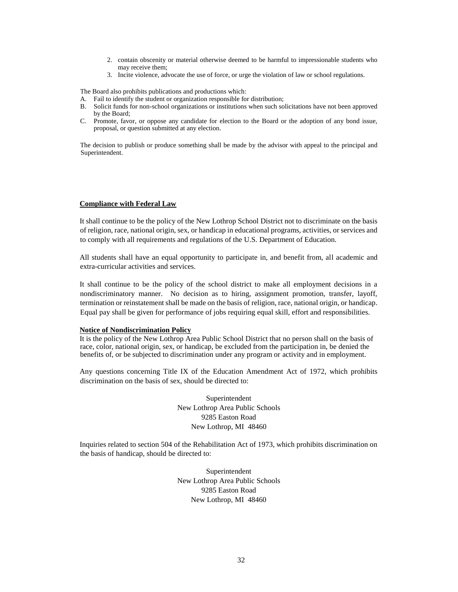- 2. contain obscenity or material otherwise deemed to be harmful to impressionable students who may receive them;
- 3. Incite violence, advocate the use of force, or urge the violation of law or school regulations.

The Board also prohibits publications and productions which:

- A. Fail to identify the student or organization responsible for distribution;
- B. Solicit funds for non-school organizations or institutions when such solicitations have not been approved by the Board;
- C. Promote, favor, or oppose any candidate for election to the Board or the adoption of any bond issue, proposal, or question submitted at any election.

The decision to publish or produce something shall be made by the advisor with appeal to the principal and Superintendent.

# **Compliance with Federal Law**

It shall continue to be the policy of the New Lothrop School District not to discriminate on the basis of religion, race, national origin, sex, or handicap in educational programs, activities, or services and to comply with all requirements and regulations of the U.S. Department of Education.

All students shall have an equal opportunity to participate in, and benefit from, all academic and extra-curricular activities and services.

It shall continue to be the policy of the school district to make all employment decisions in a nondiscriminatory manner. No decision as to hiring, assignment promotion, transfer, layoff, termination or reinstatement shall be made on the basis of religion, race, national origin, or handicap. Equal pay shall be given for performance of jobs requiring equal skill, effort and responsibilities.

# **Notice of Nondiscrimination Policy**

It is the policy of the New Lothrop Area Public School District that no person shall on the basis of race, color, national origin, sex, or handicap, be excluded from the participation in, be denied the benefits of, or be subjected to discrimination under any program or activity and in employment.

Any questions concerning Title IX of the Education Amendment Act of 1972, which prohibits discrimination on the basis of sex, should be directed to:

> Superintendent New Lothrop Area Public Schools 9285 Easton Road New Lothrop, MI 48460

Inquiries related to section 504 of the Rehabilitation Act of 1973, which prohibits discrimination on the basis of handicap, should be directed to:

> Superintendent New Lothrop Area Public Schools 9285 Easton Road New Lothrop, MI 48460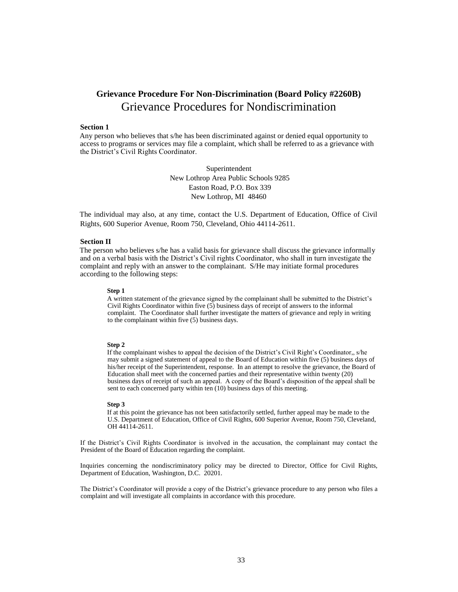# **Grievance Procedure For Non-Discrimination (Board Policy #2260B)** Grievance Procedures for Nondiscrimination

#### **Section 1**

Any person who believes that s/he has been discriminated against or denied equal opportunity to access to programs or services may file a complaint, which shall be referred to as a grievance with the District's Civil Rights Coordinator.

> Superintendent New Lothrop Area Public Schools 9285 Easton Road, P.O. Box 339 New Lothrop, MI 48460

The individual may also, at any time, contact the U.S. Department of Education, Office of Civil Rights, 600 Superior Avenue, Room 750, Cleveland, Ohio 44114-2611.

### **Section II**

The person who believes s/he has a valid basis for grievance shall discuss the grievance informally and on a verbal basis with the District's Civil rights Coordinator, who shall in turn investigate the complaint and reply with an answer to the complainant. S/He may initiate formal procedures according to the following steps:

#### **Step 1**

A written statement of the grievance signed by the complainant shall be submitted to the District's Civil Rights Coordinator within five (5) business days of receipt of answers to the informal complaint. The Coordinator shall further investigate the matters of grievance and reply in writing to the complainant within five (5) business days.

#### **Step 2**

If the complainant wishes to appeal the decision of the District's Civil Right's Coordinator,, s/he may submit a signed statement of appeal to the Board of Education within five (5) business days of his/her receipt of the Superintendent, response. In an attempt to resolve the grievance, the Board of Education shall meet with the concerned parties and their representative within twenty (20) business days of receipt of such an appeal. A copy of the Board's disposition of the appeal shall be sent to each concerned party within ten (10) business days of this meeting.

#### **Step 3**

If at this point the grievance has not been satisfactorily settled, further appeal may be made to the U.S. Department of Education, Office of Civil Rights, 600 Superior Avenue, Room 750, Cleveland, OH 44114-2611.

If the District's Civil Rights Coordinator is involved in the accusation, the complainant may contact the President of the Board of Education regarding the complaint.

Inquiries concerning the nondiscriminatory policy may be directed to Director, Office for Civil Rights, Department of Education, Washington, D.C. 20201.

The District's Coordinator will provide a copy of the District's grievance procedure to any person who files a complaint and will investigate all complaints in accordance with this procedure.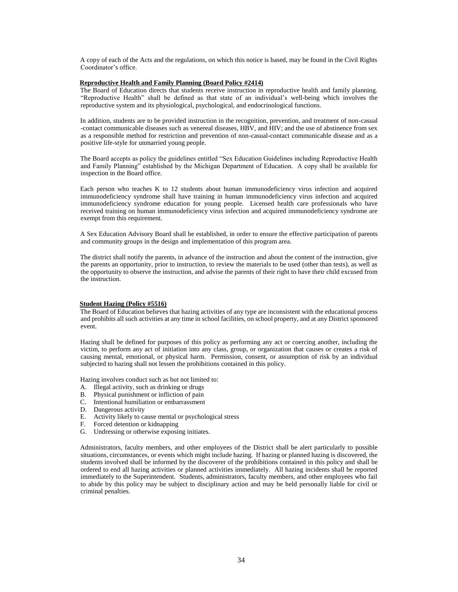A copy of each of the Acts and the regulations, on which this notice is based, may be found in the Civil Rights Coordinator's office.

#### **Reproductive Health and Family Planning (Board Policy #2414)**

The Board of Education directs that students receive instruction in reproductive health and family planning. "Reproductive Health" shall be defined as that state of an individual's well-being which involves the reproductive system and its physiological, psychological, and endocrinological functions.

In addition, students are to be provided instruction in the recognition, prevention, and treatment of non-casual -contact communicable diseases such as venereal diseases, HBV, and HIV; and the use of abstinence from sex as a responsible method for restriction and prevention of non-casual-contact communicable disease and as a positive life-style for unmarried young people.

The Board accepts as policy the guidelines entitled "Sex Education Guidelines including Reproductive Health and Family Planning" established by the Michigan Department of Education. A copy shall be available for inspection in the Board office.

Each person who teaches K to 12 students about human immunodeficiency virus infection and acquired immunodeficiency syndrome shall have training in human immunodeficiency virus infection and acquired immunodeficiency syndrome education for young people. Licensed health care professionals who have received training on human immunodeficiency virus infection and acquired immunodeficiency syndrome are exempt from this requirement.

A Sex Education Advisory Board shall be established, in order to ensure the effective participation of parents and community groups in the design and implementation of this program area.

The district shall notify the parents, in advance of the instruction and about the content of the instruction, give the parents an opportunity, prior to instruction, to review the materials to be used (other than tests), as well as the opportunity to observe the instruction, and advise the parents of their right to have their child excused from the instruction.

# **Student Hazing (Policy #5516)**

The Board of Education believes that hazing activities of any type are inconsistent with the educational process and prohibits all such activities at any time in school facilities, on school property, and at any District sponsored event.

Hazing shall be defined for purposes of this policy as performing any act or coercing another, including the victim, to perform any act of initiation into any class, group, or organization that causes or creates a risk of causing mental, emotional, or physical harm. Permission, consent, or assumption of risk by an individual subjected to hazing shall not lessen the prohibitions contained in this policy.

Hazing involves conduct such as but not limited to:

- A. Illegal activity, such as drinking or drugs
- B. Physical punishment or infliction of pain
- C. Intentional humiliation or embarrassment
- D. Dangerous activity
- E. Activity likely to cause mental or psychological stress
- F. Forced detention or kidnapping
- G. Undressing or otherwise exposing initiates.

Administrators, faculty members, and other employees of the District shall be alert particularly to possible situations, circumstances, or events which might include hazing. If hazing or planned hazing is discovered, the students involved shall be informed by the discoverer of the prohibitions contained in this policy and shall be ordered to end all hazing activities or planned activities immediately. All hazing incidents shall be reported immediately to the Superintendent. Students, administrators, faculty members, and other employees who fail to abide by this policy may be subject to disciplinary action and may be held personally liable for civil or criminal penalties.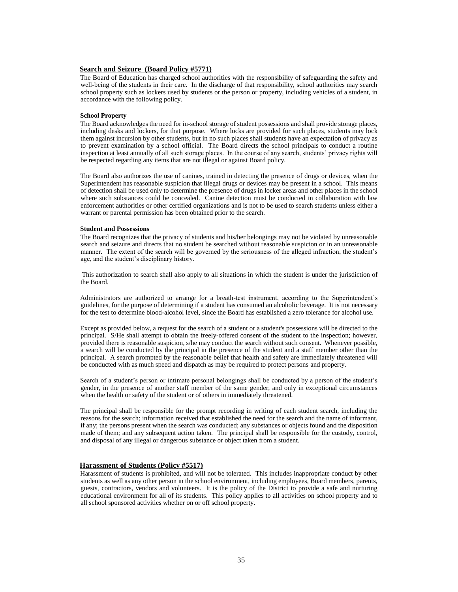# **Search and Seizure (Board Policy #5771)**

The Board of Education has charged school authorities with the responsibility of safeguarding the safety and well-being of the students in their care. In the discharge of that responsibility, school authorities may search school property such as lockers used by students or the person or property, including vehicles of a student, in accordance with the following policy.

#### **School Property**

The Board acknowledges the need for in-school storage of student possessions and shall provide storage places, including desks and lockers, for that purpose. Where locks are provided for such places, students may lock them against incursion by other students, but in no such places shall students have an expectation of privacy as to prevent examination by a school official. The Board directs the school principals to conduct a routine inspection at least annually of all such storage places. In the course of any search, students' privacy rights will be respected regarding any items that are not illegal or against Board policy.

The Board also authorizes the use of canines, trained in detecting the presence of drugs or devices, when the Superintendent has reasonable suspicion that illegal drugs or devices may be present in a school. This means of detection shall be used only to determine the presence of drugs in locker areas and other places in the school where such substances could be concealed. Canine detection must be conducted in collaboration with law enforcement authorities or other certified organizations and is not to be used to search students unless either a warrant or parental permission has been obtained prior to the search.

#### **Student and Possessions**

The Board recognizes that the privacy of students and his/her belongings may not be violated by unreasonable search and seizure and directs that no student be searched without reasonable suspicion or in an unreasonable manner. The extent of the search will be governed by the seriousness of the alleged infraction, the student's age, and the student's disciplinary history.

This authorization to search shall also apply to all situations in which the student is under the jurisdiction of the Board.

Administrators are authorized to arrange for a breath-test instrument, according to the Superintendent's guidelines, for the purpose of determining if a student has consumed an alcoholic beverage. It is not necessary for the test to determine blood-alcohol level, since the Board has established a zero tolerance for alcohol use.

Except as provided below, a request for the search of a student or a student's possessions will be directed to the principal. S/He shall attempt to obtain the freely-offered consent of the student to the inspection; however, provided there is reasonable suspicion, s/he may conduct the search without such consent. Whenever possible, a search will be conducted by the principal in the presence of the student and a staff member other than the principal. A search prompted by the reasonable belief that health and safety are immediately threatened will be conducted with as much speed and dispatch as may be required to protect persons and property.

Search of a student's person or intimate personal belongings shall be conducted by a person of the student's gender, in the presence of another staff member of the same gender, and only in exceptional circumstances when the health or safety of the student or of others in immediately threatened.

The principal shall be responsible for the prompt recording in writing of each student search, including the reasons for the search; information received that established the need for the search and the name of informant, if any; the persons present when the search was conducted; any substances or objects found and the disposition made of them; and any subsequent action taken. The principal shall be responsible for the custody, control, and disposal of any illegal or dangerous substance or object taken from a student.

# **Harassment of Students (Policy #5517)**

Harassment of students is prohibited, and will not be tolerated. This includes inappropriate conduct by other students as well as any other person in the school environment, including employees, Board members, parents, guests, contractors, vendors and volunteers. It is the policy of the District to provide a safe and nurturing educational environment for all of its students. This policy applies to all activities on school property and to all school sponsored activities whether on or off school property.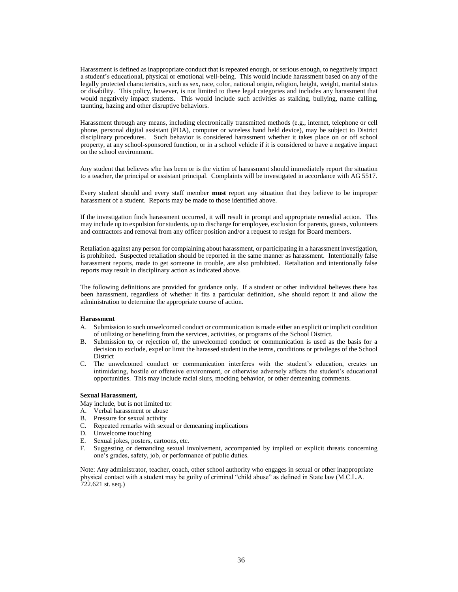Harassment is defined as inappropriate conduct that is repeated enough, or serious enough, to negatively impact a student's educational, physical or emotional well-being. This would include harassment based on any of the legally protected characteristics, such as sex, race, color, national origin, religion, height, weight, marital status or disability. This policy, however, is not limited to these legal categories and includes any harassment that would negatively impact students. This would include such activities as stalking, bullying, name calling, taunting, hazing and other disruptive behaviors.

Harassment through any means, including electronically transmitted methods (e.g., internet, telephone or cell phone, personal digital assistant (PDA), computer or wireless hand held device), may be subject to District disciplinary procedures. Such behavior is considered harassment whether it takes place on or off school property, at any school-sponsored function, or in a school vehicle if it is considered to have a negative impact on the school environment.

Any student that believes s/he has been or is the victim of harassment should immediately report the situation to a teacher, the principal or assistant principal. Complaints will be investigated in accordance with AG 5517.

Every student should and every staff member **must** report any situation that they believe to be improper harassment of a student. Reports may be made to those identified above.

If the investigation finds harassment occurred, it will result in prompt and appropriate remedial action. This may include up to expulsion for students, up to discharge for employee, exclusion for parents, guests, volunteers and contractors and removal from any officer position and/or a request to resign for Board members.

Retaliation against any person for complaining about harassment, or participating in a harassment investigation, is prohibited. Suspected retaliation should be reported in the same manner as harassment. Intentionally false harassment reports, made to get someone in trouble, are also prohibited. Retaliation and intentionally false reports may result in disciplinary action as indicated above.

The following definitions are provided for guidance only. If a student or other individual believes there has been harassment, regardless of whether it fits a particular definition, s/he should report it and allow the administration to determine the appropriate course of action.

#### **Harassment**

- A. Submission to such unwelcomed conduct or communication is made either an explicit or implicit condition of utilizing or benefiting from the services, activities, or programs of the School District.
- B. Submission to, or rejection of, the unwelcomed conduct or communication is used as the basis for a decision to exclude, expel or limit the harassed student in the terms, conditions or privileges of the School District
- C. The unwelcomed conduct or communication interferes with the student's education, creates an intimidating, hostile or offensive environment, or otherwise adversely affects the student's educational opportunities. This may include racial slurs, mocking behavior, or other demeaning comments.

#### **Sexual Harassment,**

- May include, but is not limited to:
- A. Verbal harassment or abuse
- B. Pressure for sexual activity
- C. Repeated remarks with sexual or demeaning implications
- D. Unwelcome touching
- E. Sexual jokes, posters, cartoons, etc.
- F. Suggesting or demanding sexual involvement, accompanied by implied or explicit threats concerning one's grades, safety, job, or performance of public duties.

Note: Any administrator, teacher, coach, other school authority who engages in sexual or other inappropriate physical contact with a student may be guilty of criminal "child abuse" as defined in State law (M.C.L.A.  $722.621$  st. seq.)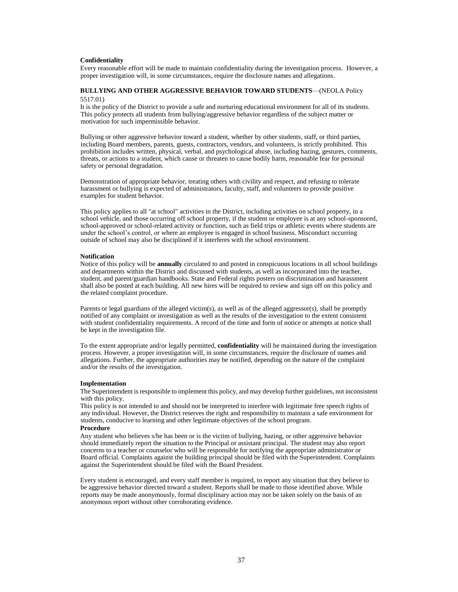#### **Confidentiality**

Every reasonable effort will be made to maintain confidentiality during the investigation process. However, a proper investigation will, in some circumstances, require the disclosure names and allegations.

# **BULLYING AND OTHER AGGRESSIVE BEHAVIOR TOWARD STUDENTS**—(NEOLA Policy 5517.01)

It is the policy of the District to provide a safe and nurturing educational environment for all of its students. This policy protects all students from bullying/aggressive behavior regardless of the subject matter or motivation for such impermissible behavior.

Bullying or other aggressive behavior toward a student, whether by other students, staff, or third parties, including Board members, parents, guests, contractors, vendors, and volunteers, is strictly prohibited. This prohibition includes written, physical, verbal, and psychological abuse, including hazing, gestures, comments, threats, or actions to a student, which cause or threaten to cause bodily harm, reasonable fear for personal safety or personal degradation.

Demonstration of appropriate behavior, treating others with civility and respect, and refusing to tolerate harassment or bullying is expected of administrators, faculty, staff, and volunteers to provide positive examples for student behavior.

This policy applies to all "at school" activities in the District, including activities on school property, in a school vehicle, and those occurring off school property, if the student or employee is at any school-sponsored, school-approved or school-related activity or function, such as field trips or athletic events where students are under the school's control, or where an employee is engaged in school business. Misconduct occurring outside of school may also be disciplined if it interferes with the school environment.

#### **Notification**

Notice of this policy will be **annually** circulated to and posted in conspicuous locations in all school buildings and departments within the District and discussed with students, as well as incorporated into the teacher, student, and parent/guardian handbooks. State and Federal rights posters on discrimination and harassment shall also be posted at each building. All new hires will be required to review and sign off on this policy and the related complaint procedure.

Parents or legal guardians of the alleged victim(s), as well as of the alleged aggressor(s), shall be promptly notified of any complaint or investigation as well as the results of the investigation to the extent consistent with student confidentiality requirements. A record of the time and form of notice or attempts at notice shall be kept in the investigation file.

To the extent appropriate and/or legally permitted, **confidentiality** will be maintained during the investigation process. However, a proper investigation will, in some circumstances, require the disclosure of names and allegations. Further, the appropriate authorities may be notified, depending on the nature of the complaint and/or the results of the investigation.

#### **Implementation**

The Superintendent is responsible to implement this policy, and may develop further guidelines, not inconsistent with this policy.

This policy is not intended to and should not be interpreted to interfere with legitimate free speech rights of any individual. However, the District reserves the right and responsibility to maintain a safe environment for students, conducive to learning and other legitimate objectives of the school program.

#### **Procedure**

Any student who believes s/he has been or is the victim of bullying, hazing, or other aggressive behavior should immediately report the situation to the Principal or assistant principal. The student may also report concerns to a teacher or counselor who will be responsible for notifying the appropriate administrator or Board official. Complaints against the building principal should be filed with the Superintendent. Complaints against the Superintendent should be filed with the Board President.

Every student is encouraged, and every staff member is required, to report any situation that they believe to be aggressive behavior directed toward a student. Reports shall be made to those identified above. While reports may be made anonymously, formal disciplinary action may not be taken solely on the basis of an anonymous report without other corroborating evidence.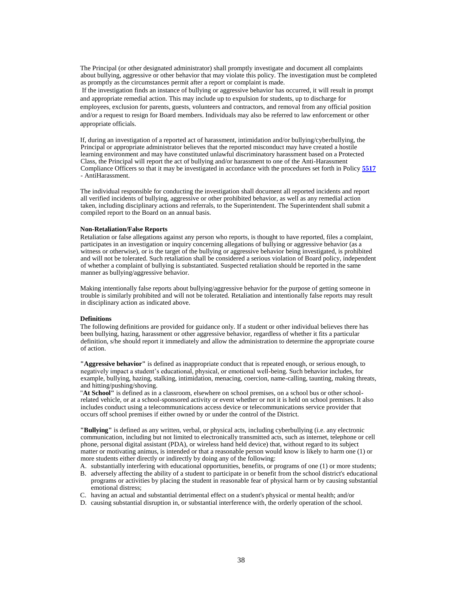The Principal (or other designated administrator) shall promptly investigate and document all complaints about bullying, aggressive or other behavior that may violate this policy. The investigation must be completed as promptly as the circumstances permit after a report or complaint is made.

If the investigation finds an instance of bullying or aggressive behavior has occurred, it will result in prompt and appropriate remedial action. This may include up to expulsion for students, up to discharge for employees, exclusion for parents, guests, volunteers and contractors, and removal from any official position and/or a request to resign for Board members. Individuals may also be referred to law enforcement or other appropriate officials.

If, during an investigation of a reported act of harassment, intimidation and/or bullying/cyberbullying, the Principal or appropriate administrator believes that the reported misconduct may have created a hostile learning environment and may have constituted unlawful discriminatory harassment based on a Protected Class, the Principal will report the act of bullying and/or harassment to one of the Anti-Harassment Compliance Officers so that it may be investigated in accordance with the procedures set forth in Policy **[5517](http://www.neola.com/newlothrop-mi/search%5Cpolicies/po5517.htm)** - AntiHarassment.

The individual responsible for conducting the investigation shall document all reported incidents and report all verified incidents of bullying, aggressive or other prohibited behavior, as well as any remedial action taken, including disciplinary actions and referrals, to the Superintendent. The Superintendent shall submit a compiled report to the Board on an annual basis.

## **Non-Retaliation/False Reports**

Retaliation or false allegations against any person who reports, is thought to have reported, files a complaint, participates in an investigation or inquiry concerning allegations of bullying or aggressive behavior (as a witness or otherwise), or is the target of the bullying or aggressive behavior being investigated, is prohibited and will not be tolerated. Such retaliation shall be considered a serious violation of Board policy, independent of whether a complaint of bullying is substantiated. Suspected retaliation should be reported in the same manner as bullying/aggressive behavior.

Making intentionally false reports about bullying/aggressive behavior for the purpose of getting someone in trouble is similarly prohibited and will not be tolerated. Retaliation and intentionally false reports may result in disciplinary action as indicated above.

#### **Definitions**

The following definitions are provided for guidance only. If a student or other individual believes there has been bullying, hazing, harassment or other aggressive behavior, regardless of whether it fits a particular definition, s/he should report it immediately and allow the administration to determine the appropriate course of action.

**"Aggressive behavior"** is defined as inappropriate conduct that is repeated enough, or serious enough, to negatively impact a student's educational, physical, or emotional well-being. Such behavior includes, for example, bullying, hazing, stalking, intimidation, menacing, coercion, name-calling, taunting, making threats, and hitting/pushing/shoving.

"**At School"** is defined as in a classroom, elsewhere on school premises, on a school bus or other schoolrelated vehicle, or at a school-sponsored activity or event whether or not it is held on school premises. It also includes conduct using a telecommunications access device or telecommunications service provider that occurs off school premises if either owned by or under the control of the District.

**"Bullying"** is defined as any written, verbal, or physical acts, including cyberbullying (i.e. any electronic communication, including but not limited to electronically transmitted acts, such as internet, telephone or cell phone, personal digital assistant (PDA), or wireless hand held device) that, without regard to its subject matter or motivating animus, is intended or that a reasonable person would know is likely to harm one (1) or more students either directly or indirectly by doing any of the following:

- A. substantially interfering with educational opportunities, benefits, or programs of one (1) or more students; B. adversely affecting the ability of a student to participate in or benefit from the school district's educational
- programs or activities by placing the student in reasonable fear of physical harm or by causing substantial emotional distress;
- C. having an actual and substantial detrimental effect on a student's physical or mental health; and/or
- D. causing substantial disruption in, or substantial interference with, the orderly operation of the school.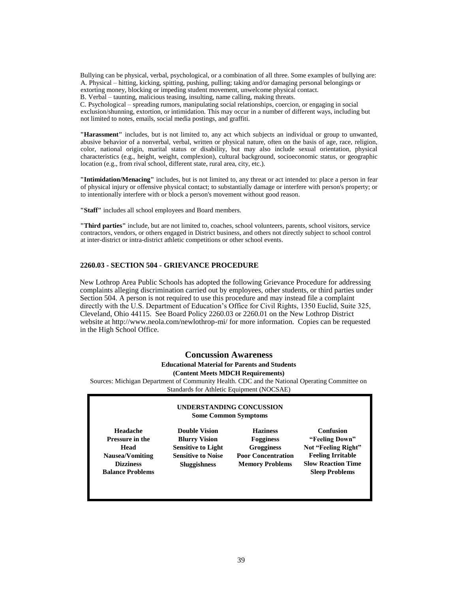Bullying can be physical, verbal, psychological, or a combination of all three. Some examples of bullying are: A. Physical – hitting, kicking, spitting, pushing, pulling; taking and/or damaging personal belongings or extorting money, blocking or impeding student movement, unwelcome physical contact.

B. Verbal – taunting, malicious teasing, insulting, name calling, making threats.

C. Psychological – spreading rumors, manipulating social relationships, coercion, or engaging in social exclusion/shunning, extortion, or intimidation. This may occur in a number of different ways, including but not limited to notes, emails, social media postings, and graffiti.

**"Harassment"** includes, but is not limited to, any act which subjects an individual or group to unwanted, abusive behavior of a nonverbal, verbal, written or physical nature, often on the basis of age, race, religion, color, national origin, marital status or disability, but may also include sexual orientation, physical characteristics (e.g., height, weight, complexion), cultural background, socioeconomic status, or geographic location (e.g., from rival school, different state, rural area, city, etc.).

**"Intimidation/Menacing"** includes, but is not limited to, any threat or act intended to: place a person in fear of physical injury or offensive physical contact; to substantially damage or interfere with person's property; or to intentionally interfere with or block a person's movement without good reason.

**"Staff"** includes all school employees and Board members.

**"Third parties"** include, but are not limited to, coaches, school volunteers, parents, school visitors, service contractors, vendors, or others engaged in District business, and others not directly subject to school control at inter-district or intra-district athletic competitions or other school events.

# **2260.03 - SECTION 504 - GRIEVANCE PROCEDURE**

New Lothrop Area Public Schools has adopted the following Grievance Procedure for addressing complaints alleging discrimination carried out by employees, other students, or third parties under Section 504. A person is not required to use this procedure and may instead file a complaint directly with the U.S. Department of Education's Office for Civil Rights, 1350 Euclid, Suite 325, Cleveland, Ohio 44115. See Board Policy 2260.03 or 2260.01 on the New Lothrop District website at http://www.neola.com/newlothrop-mi/ for more information. Copies can be requested in the High School Office.

# **Concussion Awareness**

# **Educational Material for Parents and Students**

# **(Content Meets MDCH Requirements)**

Sources: Michigan Department of Community Health. CDC and the National Operating Committee on Standards for Athletic Equipment (NOCSAE)

# **UNDERSTANDING CONCUSSION Some Common Symptoms**

**Headache Pressure in the Head Nausea/Vomiting Dizziness Balance Problems** 

**Double Vision Blurry Vision Sensitive to Light Sensitive to Noise Sluggishness** 

**Haziness Fogginess Grogginess Poor Concentration Memory Problems** 

**Confusion "Feeling Down" Not "Feeling Right" Feeling Irritable Slow Reaction Time Sleep Problems**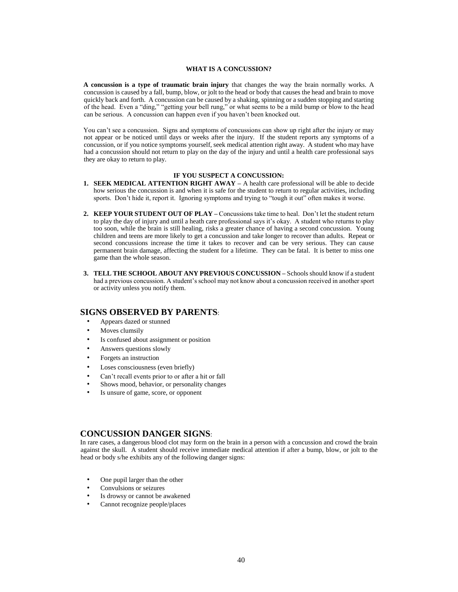## **WHAT IS A CONCUSSION?**

**A concussion is a type of traumatic brain injury** that changes the way the brain normally works. A concussion is caused by a fall, bump, blow, or jolt to the head or body that causes the head and brain to move quickly back and forth. A concussion can be caused by a shaking, spinning or a sudden stopping and starting of the head. Even a "ding," "getting your bell rung," or what seems to be a mild bump or blow to the head can be serious. A concussion can happen even if you haven't been knocked out.

You can't see a concussion. Signs and symptoms of concussions can show up right after the injury or may not appear or be noticed until days or weeks after the injury. If the student reports any symptoms of a concussion, or if you notice symptoms yourself, seek medical attention right away. A student who may have had a concussion should not return to play on the day of the injury and until a health care professional says they are okay to return to play.

#### **IF YOU SUSPECT A CONCUSSION:**

- **1. SEEK MEDICAL ATTENTION RIGHT AWAY –** A health care professional will be able to decide how serious the concussion is and when it is safe for the student to return to regular activities, including sports. Don't hide it, report it. Ignoring symptoms and trying to "tough it out" often makes it worse.
- **2. KEEP YOUR STUDENT OUT OF PLAY –** Concussions take time to heal. Don't let the student return to play the day of injury and until a heath care professional says it's okay. A student who returns to play too soon, while the brain is still healing, risks a greater chance of having a second concussion. Young children and teens are more likely to get a concussion and take longer to recover than adults. Repeat or second concussions increase the time it takes to recover and can be very serious. They can cause permanent brain damage, affecting the student for a lifetime. They can be fatal. It is better to miss one game than the whole season.
- **3. TELL THE SCHOOL ABOUT ANY PREVIOUS CONCUSSION –** Schools should know if a student had a previous concussion. A student's school may not know about a concussion received in another sport or activity unless you notify them.

# **SIGNS OBSERVED BY PARENTS**:

- Appears dazed or stunned
- Moves clumsily
- Is confused about assignment or position
- Answers questions slowly
- Forgets an instruction
- Loses consciousness (even briefly)
- Can't recall events prior to or after a hit or fall
- Shows mood, behavior, or personality changes
- Is unsure of game, score, or opponent

# **CONCUSSION DANGER SIGNS**:

In rare cases, a dangerous blood clot may form on the brain in a person with a concussion and crowd the brain against the skull. A student should receive immediate medical attention if after a bump, blow, or jolt to the head or body s/he exhibits any of the following danger signs:

- One pupil larger than the other
- Convulsions or seizures
- Is drowsy or cannot be awakened
- Cannot recognize people/places